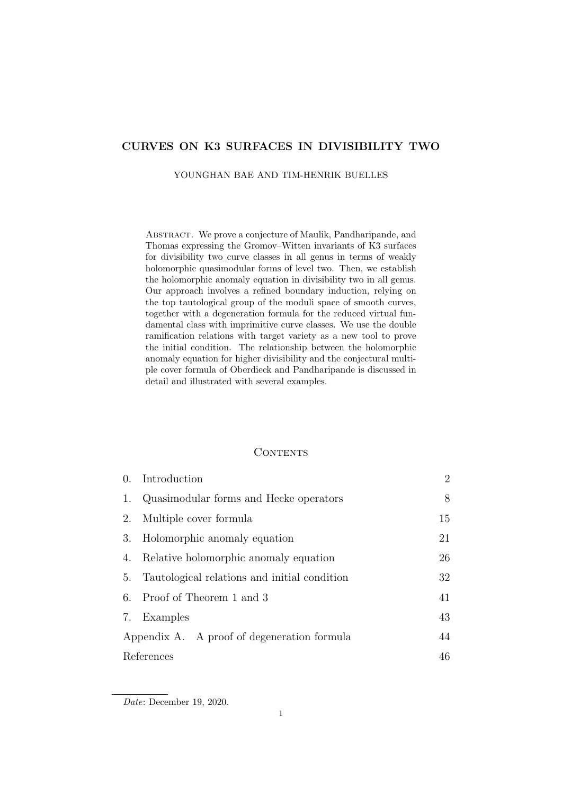# CURVES ON K3 SURFACES IN DIVISIBILITY TWO

#### YOUNGHAN BAE AND TIM-HENRIK BUELLES

ABSTRACT. We prove a conjecture of Maulik, Pandharipande, and Thomas expressing the Gromov–Witten invariants of K3 surfaces for divisibility two curve classes in all genus in terms of weakly holomorphic quasimodular forms of level two. Then, we establish the holomorphic anomaly equation in divisibility two in all genus. Our approach involves a refined boundary induction, relying on the top tautological group of the moduli space of smooth curves, together with a degeneration formula for the reduced virtual fundamental class with imprimitive curve classes. We use the double ramification relations with target variety as a new tool to prove the initial condition. The relationship between the holomorphic anomaly equation for higher divisibility and the conjectural multiple cover formula of Oberdieck and Pandharipande is discussed in detail and illustrated with several examples.

# **CONTENTS**

| $\overline{0}$ .                            | Introduction                                 | $\overline{2}$ |
|---------------------------------------------|----------------------------------------------|----------------|
| 1.                                          | Quasimodular forms and Hecke operators       | 8              |
| 2.                                          | Multiple cover formula                       | 15             |
| 3.                                          | Holomorphic anomaly equation                 | 21             |
| 4.                                          | Relative holomorphic anomaly equation        | 26             |
| 5.                                          | Tautological relations and initial condition | 32             |
| 6.                                          | Proof of Theorem 1 and 3                     | 41             |
| 7.                                          | Examples                                     | 43             |
| Appendix A. A proof of degeneration formula |                                              | 44             |
|                                             | References                                   |                |

Date: December 19, 2020.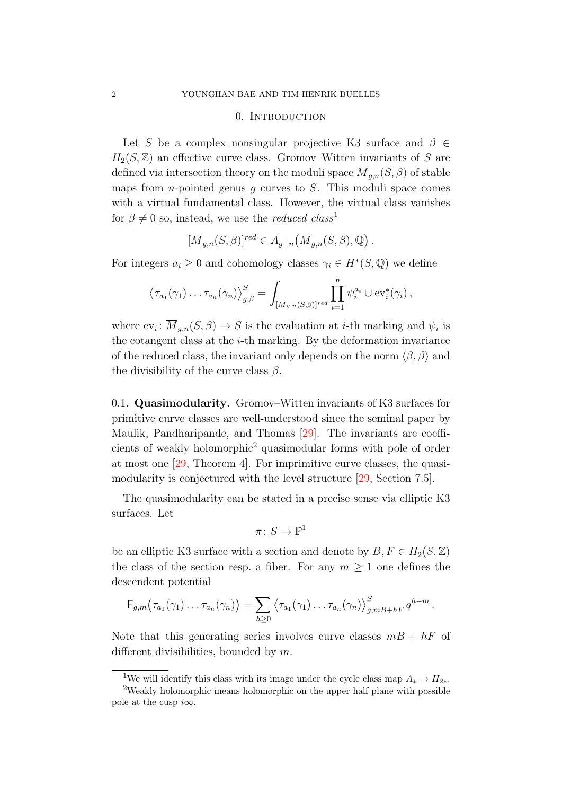#### 0. INTRODUCTION

<span id="page-1-0"></span>Let S be a complex nonsingular projective K3 surface and  $\beta \in$  $H_2(S, \mathbb{Z})$  an effective curve class. Gromov–Witten invariants of S are defined via intersection theory on the moduli space  $\overline{M}_{g,n}(S,\beta)$  of stable maps from *n*-pointed genus  $g$  curves to  $S$ . This moduli space comes with a virtual fundamental class. However, the virtual class vanishes for  $\beta \neq 0$  so, instead, we use the *reduced class*<sup>[1](#page-1-1)</sup>

$$
[\overline{M}_{g,n}(S,\beta)]^{red} \in A_{g+n}(\overline{M}_{g,n}(S,\beta),\mathbb{Q}).
$$

For integers  $a_i \geq 0$  and cohomology classes  $\gamma_i \in H^*(S, \mathbb{Q})$  we define

$$
\left\langle \tau_{a_1}(\gamma_1)\dots\tau_{a_n}(\gamma_n)\right\rangle_{g,\beta}^S=\int_{[\overline{M}_{g,n}(S,\beta)]^{red}}\prod_{i=1}^n\psi_i^{a_i}\cup \text{ev}_i^*(\gamma_i),
$$

where  $ev_i: M_{g,n}(S, \beta) \to S$  is the evaluation at *i*-th marking and  $\psi_i$  is the cotangent class at the  $i$ -th marking. By the deformation invariance of the reduced class, the invariant only depends on the norm  $\langle \beta, \beta \rangle$  and the divisibility of the curve class  $\beta$ .

<span id="page-1-3"></span>0.1. Quasimodularity. Gromov–Witten invariants of K3 surfaces for primitive curve classes are well-understood since the seminal paper by Maulik, Pandharipande, and Thomas [\[29\]](#page-47-0). The invariants are coefficients of weakly holomorphic[2](#page-1-2) quasimodular forms with pole of order at most one [\[29,](#page-47-0) Theorem 4]. For imprimitive curve classes, the quasimodularity is conjectured with the level structure [\[29,](#page-47-0) Section 7.5].

The quasimodularity can be stated in a precise sense via elliptic K3 surfaces. Let

$$
\pi\colon S\to \mathbb{P}^1
$$

be an elliptic K3 surface with a section and denote by  $B, F \in H_2(S, \mathbb{Z})$ the class of the section resp. a fiber. For any  $m \geq 1$  one defines the descendent potential

$$
\mathsf{F}_{g,m}(\tau_{a_1}(\gamma_1)\ldots\tau_{a_n}(\gamma_n))=\sum_{h\geq 0}\left\langle\tau_{a_1}(\gamma_1)\ldots\tau_{a_n}(\gamma_n)\right\rangle_{g,mB+hF}^S q^{h-m}.
$$

Note that this generating series involves curve classes  $mB + hF$  of different divisibilities, bounded by m.

<span id="page-1-2"></span><span id="page-1-1"></span><sup>&</sup>lt;sup>1</sup>We will identify this class with its image under the cycle class map  $A_* \to H_{2*}$ .

<sup>&</sup>lt;sup>2</sup>Weakly holomorphic means holomorphic on the upper half plane with possible pole at the cusp  $i\infty$ .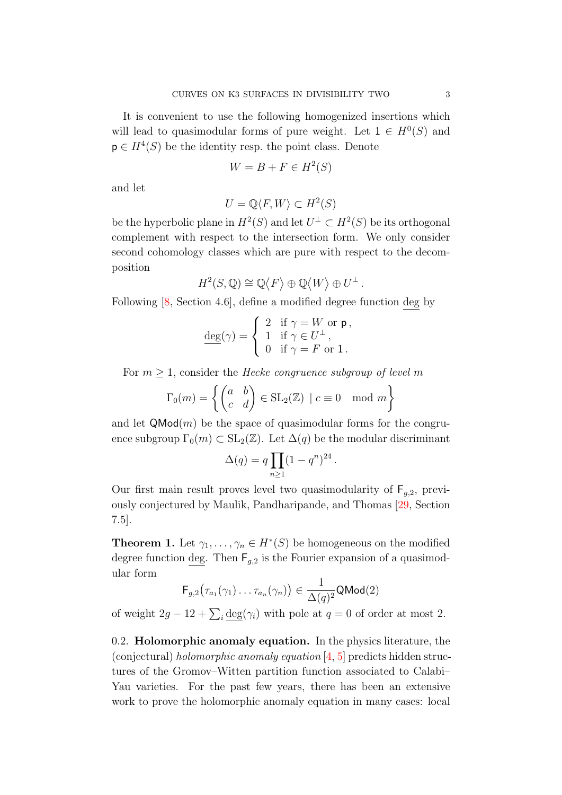It is convenient to use the following homogenized insertions which will lead to quasimodular forms of pure weight. Let  $1 \in H^0(S)$  and  $\mathsf{p} \in H^4(S)$  be the identity resp. the point class. Denote

$$
W = B + F \in H^2(S)
$$

and let

$$
U = \mathbb{Q}\langle F, W \rangle \subset H^2(S)
$$

be the hyperbolic plane in  $H^2(S)$  and let  $U^{\perp} \subset H^2(S)$  be its orthogonal complement with respect to the intersection form. We only consider second cohomology classes which are pure with respect to the decomposition

$$
H^2(S, \mathbb{Q}) \cong \mathbb{Q}\langle F \rangle \oplus \mathbb{Q}\langle W \rangle \oplus U^{\perp}.
$$

Following [\[8,](#page-46-0) Section 4.6], define a modified degree function deg by

$$
\underline{\deg}(\gamma) = \begin{cases} 2 & \text{if } \gamma = W \text{ or } \mathsf{p} \,, \\ 1 & \text{if } \gamma \in U^{\perp} \,, \\ 0 & \text{if } \gamma = F \text{ or } 1 \,. \end{cases}
$$

For  $m \geq 1$ , consider the Hecke congruence subgroup of level m

$$
\Gamma_0(m) = \left\{ \begin{pmatrix} a & b \\ c & d \end{pmatrix} \in SL_2(\mathbb{Z}) \mid c \equiv 0 \mod m \right\}
$$

and let  $\mathsf{QMod}(m)$  be the space of quasimodular forms for the congruence subgroup  $\Gamma_0(m) \subset SL_2(\mathbb{Z})$ . Let  $\Delta(q)$  be the modular discriminant

$$
\Delta(q) = q \prod_{n \ge 1} (1 - q^n)^{24}.
$$

Our first main result proves level two quasimodularity of  $F_{a,2}$ , previously conjectured by Maulik, Pandharipande, and Thomas [\[29,](#page-47-0) Section 7.5].

<span id="page-2-0"></span>**Theorem 1.** Let  $\gamma_1, \ldots, \gamma_n \in H^*(S)$  be homogeneous on the modified degree function deg. Then  $F_{g,2}$  is the Fourier expansion of a quasimodular form

$$
\mathsf{F}_{g,2}(\tau_{a_1}(\gamma_1)\ldots\tau_{a_n}(\gamma_n))\in\frac{1}{\Delta(q)^2}\mathsf{QMod}(2)
$$

of weight  $2g - 12 + \sum_i \underline{\text{deg}}(\gamma_i)$  with pole at  $q = 0$  of order at most 2.

0.2. Holomorphic anomaly equation. In the physics literature, the (conjectural) *holomorphic anomaly equation*  $[4, 5]$  $[4, 5]$  $[4, 5]$  predicts hidden structures of the Gromov–Witten partition function associated to Calabi– Yau varieties. For the past few years, there has been an extensive work to prove the holomorphic anomaly equation in many cases: local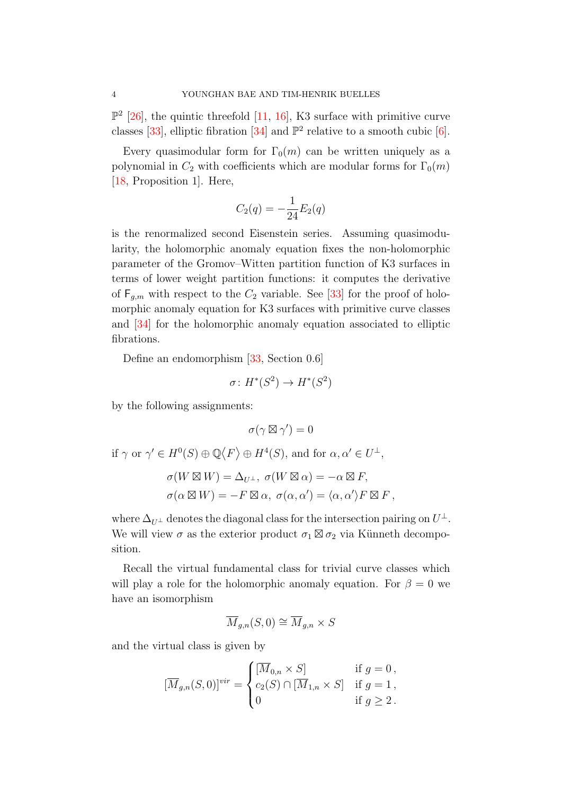$\mathbb{P}^2$  [\[26\]](#page-46-1), the quintic threefold [\[11,](#page-46-2) [16\]](#page-46-3), K3 surface with primitive curve classes [\[33\]](#page-47-1), elliptic fibration [\[34\]](#page-47-2) and  $\mathbb{P}^2$  relative to a smooth cubic [\[6\]](#page-46-4).

Every quasimodular form for  $\Gamma_0(m)$  can be written uniquely as a polynomial in  $C_2$  with coefficients which are modular forms for  $\Gamma_0(m)$ [\[18,](#page-46-5) Proposition 1]. Here,

$$
C_2(q) = -\frac{1}{24}E_2(q)
$$

is the renormalized second Eisenstein series. Assuming quasimodularity, the holomorphic anomaly equation fixes the non-holomorphic parameter of the Gromov–Witten partition function of K3 surfaces in terms of lower weight partition functions: it computes the derivative of  $\mathsf{F}_{q,m}$  with respect to the  $C_2$  variable. See [\[33\]](#page-47-1) for the proof of holomorphic anomaly equation for K3 surfaces with primitive curve classes and [\[34\]](#page-47-2) for the holomorphic anomaly equation associated to elliptic fibrations.

Define an endomorphism [\[33,](#page-47-1) Section 0.6]

$$
\sigma \colon H^*(S^2) \to H^*(S^2)
$$

by the following assignments:

 $\sigma(\gamma \boxtimes \gamma') = 0$ 

if  $\gamma$  or  $\gamma' \in H^0(S) \oplus \mathbb{Q}\langle F \rangle \oplus H^4(S)$ , and for  $\alpha, \alpha' \in U^{\perp}$ ,

$$
\sigma(W \boxtimes W) = \Delta_{U^{\perp}}, \ \sigma(W \boxtimes \alpha) = -\alpha \boxtimes F,
$$

$$
\sigma(\alpha \boxtimes W) = -F \boxtimes \alpha, \ \sigma(\alpha, \alpha') = \langle \alpha, \alpha' \rangle F \boxtimes F,
$$

where  $\Delta_{U^{\perp}}$  denotes the diagonal class for the intersection pairing on  $U^{\perp}$ . We will view  $\sigma$  as the exterior product  $\sigma_1 \boxtimes \sigma_2$  via Künneth decomposition.

Recall the virtual fundamental class for trivial curve classes which will play a role for the holomorphic anomaly equation. For  $\beta = 0$  we have an isomorphism

$$
\overline{M}_{g,n}(S,0) \cong \overline{M}_{g,n} \times S
$$

and the virtual class is given by

$$
[\overline{M}_{g,n}(S,0)]^{vir} = \begin{cases} [\overline{M}_{0,n} \times S] & \text{if } g = 0, \\ c_2(S) \cap [\overline{M}_{1,n} \times S] & \text{if } g = 1, \\ 0 & \text{if } g \ge 2. \end{cases}
$$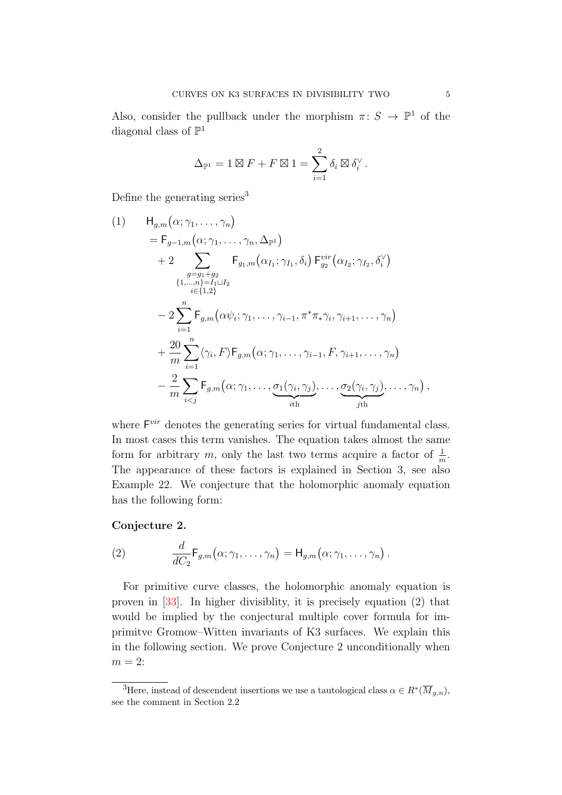Also, consider the pullback under the morphism  $\pi: S \to \mathbb{P}^1$  of the diagonal class of  $\mathbb{P}^1$ 

$$
\Delta_{\mathbb{P}^1} = 1 \boxtimes F + F \boxtimes 1 = \sum_{i=1}^2 \delta_i \boxtimes \delta_i^{\vee}.
$$

Define the generating series<sup>[3](#page-4-0)</sup>

<span id="page-4-3"></span>
$$
(1) \tHg,m(\alpha; \gamma_1, ..., \gamma_n)
$$
  
=  $\mathsf{F}_{g-1,m}(\alpha; \gamma_1, ..., \gamma_n, \Delta_{\mathbb{P}^1})$   
+  $2 \sum_{\substack{g=g_1+g_2\\i\in\{1,2\}\\i\in\{1,2\}}} \mathsf{F}_{g_1,m}(\alpha_{I_1}; \gamma_{I_1}, \delta_i) \mathsf{F}_{g_2}^{vir}(\alpha_{I_2}; \gamma_{I_2}, \delta_i^{\vee})$   
+  $\sum_{i=1}^{g=g_1+g_2}$   
-  $2 \sum_{i=1}^n \mathsf{F}_{g,m}(\alpha\psi_i; \gamma_1, ..., \gamma_{i-1}, \pi^* \pi_* \gamma_i, \gamma_{i+1}, ..., \gamma_n)$   
+  $\frac{20}{m} \sum_{i=1}^n \langle \gamma_i, F \rangle \mathsf{F}_{g,m}(\alpha; \gamma_1, ..., \gamma_{i-1}, F, \gamma_{i+1}, ..., \gamma_n)$   
-  $\frac{2}{m} \sum_{i$ 

where  $F<sup>vir</sup>$  denotes the generating series for virtual fundamental class. In most cases this term vanishes. The equation takes almost the same form for arbitrary m, only the last two terms acquire a factor of  $\frac{1}{m}$ . The appearance of these factors is explained in Section [3,](#page-20-0) see also Example [22.](#page-24-0) We conjecture that the holomorphic anomaly equation has the following form:

## <span id="page-4-2"></span>Conjecture 2.

<span id="page-4-1"></span>(2) 
$$
\frac{d}{dC_2} \mathsf{F}_{g,m}(\alpha; \gamma_1, \ldots, \gamma_n) = \mathsf{H}_{g,m}(\alpha; \gamma_1, \ldots, \gamma_n).
$$

For primitive curve classes, the holomorphic anomaly equation is proven in [\[33\]](#page-47-1). In higher divisiblity, it is precisely equation [\(2\)](#page-4-1) that would be implied by the conjectural multiple cover formula for imprimitve Gromow–Witten invariants of K3 surfaces. We explain this in the following section. We prove Conjecture [2](#page-4-2) unconditionally when  $m = 2$ :

<span id="page-4-0"></span><sup>&</sup>lt;sup>3</sup>Here, instead of descendent insertions we use a tautological class  $\alpha \in R^*(\overline{M}_{g,n}),$ see the comment in Section [2.2](#page-16-0)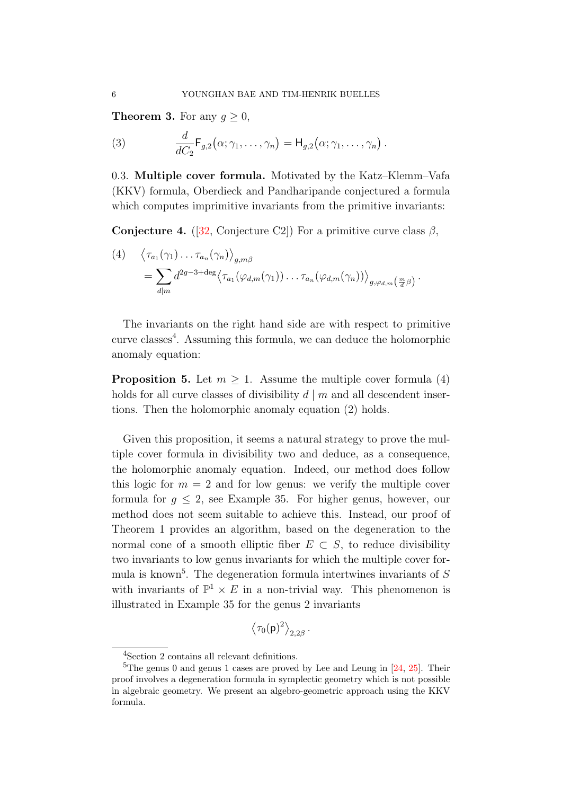<span id="page-5-0"></span>**Theorem 3.** For any  $g \geq 0$ ,

<span id="page-5-6"></span>(3) 
$$
\frac{d}{dC_2} \mathsf{F}_{g,2}(\alpha; \gamma_1, \ldots, \gamma_n) = \mathsf{H}_{g,2}(\alpha; \gamma_1, \ldots, \gamma_n).
$$

0.3. Multiple cover formula. Motivated by the Katz–Klemm–Vafa (KKV) formula, Oberdieck and Pandharipande conjectured a formula which computes imprimitive invariants from the primitive invariants:

<span id="page-5-4"></span>**Conjecture 4.** ([\[32,](#page-47-3) Conjecture C2]) For a primitive curve class  $\beta$ ,

<span id="page-5-2"></span>(4) 
$$
\langle \tau_{a_1}(\gamma_1) \dots \tau_{a_n}(\gamma_n) \rangle_{g,m\beta}
$$
  
=  $\sum_{d|m} d^{2g-3+\text{deg}} \langle \tau_{a_1}(\varphi_{d,m}(\gamma_1)) \dots \tau_{a_n}(\varphi_{d,m}(\gamma_n)) \rangle_{g,\varphi_{d,m}}(\frac{m}{d}\beta)$ .

The invariants on the right hand side are with respect to primitive curve classes<sup>[4](#page-5-1)</sup>. Assuming this formula, we can deduce the holomorphic anomaly equation:

<span id="page-5-5"></span>**Proposition 5.** Let  $m \geq 1$ . Assume the multiple cover formula [\(4\)](#page-5-2) holds for all curve classes of divisibility  $d \mid m$  and all descendent insertions. Then the holomorphic anomaly equation [\(2\)](#page-4-1) holds.

Given this proposition, it seems a natural strategy to prove the multiple cover formula in divisibility two and deduce, as a consequence, the holomorphic anomaly equation. Indeed, our method does follow this logic for  $m = 2$  and for low genus: we verify the multiple cover formula for  $g \leq 2$ , see Example [35.](#page-42-1) For higher genus, however, our method does not seem suitable to achieve this. Instead, our proof of Theorem [1](#page-2-0) provides an algorithm, based on the degeneration to the normal cone of a smooth elliptic fiber  $E \subset S$ , to reduce divisibility two invariants to low genus invariants for which the multiple cover for-mula is known<sup>[5](#page-5-3)</sup>. The degeneration formula intertwines invariants of  $S$ with invariants of  $\mathbb{P}^1 \times E$  in a non-trivial way. This phenomenon is illustrated in Example [35](#page-42-1) for the genus 2 invariants

$$
\left<\tau_0({\sf p})^2\right>_{2,2\beta}
$$

.

<span id="page-5-3"></span><span id="page-5-1"></span><sup>4</sup>Section [2](#page-14-0) contains all relevant definitions.

<sup>&</sup>lt;sup>5</sup>The genus 0 and genus 1 cases are proved by Lee and Leung in  $[24, 25]$  $[24, 25]$  $[24, 25]$ . Their proof involves a degeneration formula in symplectic geometry which is not possible in algebraic geometry. We present an algebro-geometric approach using the KKV formula.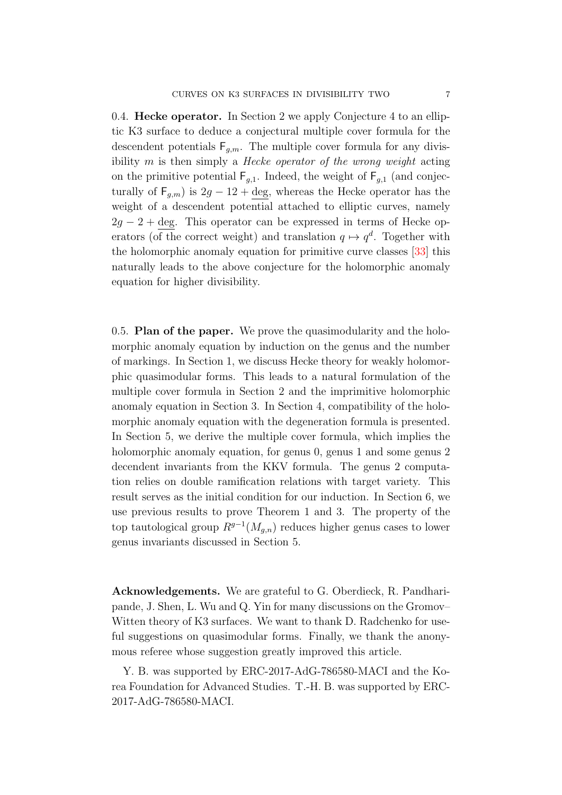<span id="page-6-0"></span>0.4. Hecke operator. In Section [2](#page-14-0) we apply Conjecture [4](#page-5-4) to an elliptic K3 surface to deduce a conjectural multiple cover formula for the descendent potentials  $F_{g,m}$ . The multiple cover formula for any divisibility  $m$  is then simply a *Hecke operator of the wrong weight* acting on the primitive potential  $F_{g,1}$ . Indeed, the weight of  $F_{g,1}$  (and conjecturally of  $F_{q,m}$ ) is  $2g - 12 + \text{deg}$ , whereas the Hecke operator has the weight of a descendent potential attached to elliptic curves, namely  $2q - 2 + \text{deg}$ . This operator can be expressed in terms of Hecke operators (of the correct weight) and translation  $q \mapsto q^d$ . Together with the holomorphic anomaly equation for primitive curve classes [\[33\]](#page-47-1) this naturally leads to the above conjecture for the holomorphic anomaly equation for higher divisibility.

0.5. Plan of the paper. We prove the quasimodularity and the holomorphic anomaly equation by induction on the genus and the number of markings. In Section [1,](#page-7-0) we discuss Hecke theory for weakly holomorphic quasimodular forms. This leads to a natural formulation of the multiple cover formula in Section [2](#page-14-0) and the imprimitive holomorphic anomaly equation in Section [3.](#page-20-0) In Section [4,](#page-25-0) compatibility of the holomorphic anomaly equation with the degeneration formula is presented. In Section [5,](#page-31-0) we derive the multiple cover formula, which implies the holomorphic anomaly equation, for genus 0, genus 1 and some genus 2 decendent invariants from the KKV formula. The genus 2 computation relies on double ramification relations with target variety. This result serves as the initial condition for our induction. In Section [6,](#page-40-0) we use previous results to prove Theorem [1](#page-2-0) and [3.](#page-5-0) The property of the top tautological group  $R^{g-1}(M_{g,n})$  reduces higher genus cases to lower genus invariants discussed in Section [5.](#page-31-0)

Acknowledgements. We are grateful to G. Oberdieck, R. Pandharipande, J. Shen, L. Wu and Q. Yin for many discussions on the Gromov– Witten theory of K3 surfaces. We want to thank D. Radchenko for useful suggestions on quasimodular forms. Finally, we thank the anonymous referee whose suggestion greatly improved this article.

Y. B. was supported by ERC-2017-AdG-786580-MACI and the Korea Foundation for Advanced Studies. T.-H. B. was supported by ERC-2017-AdG-786580-MACI.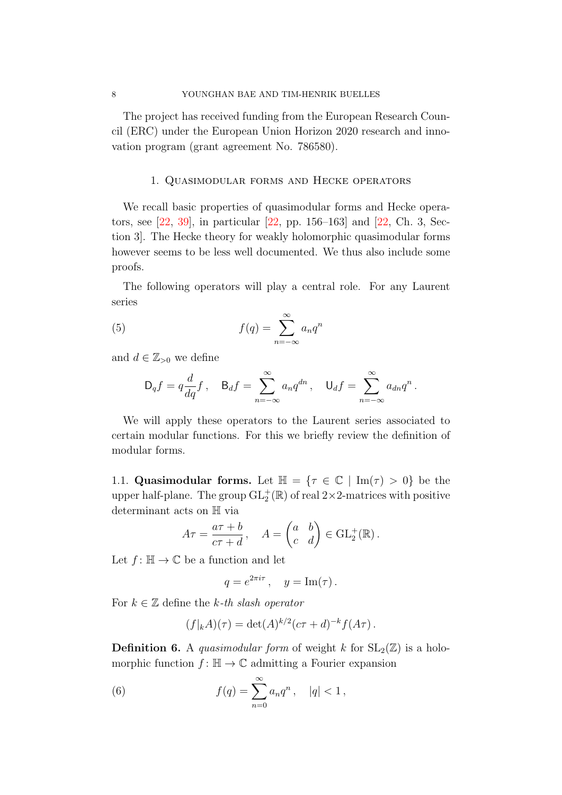The project has received funding from the European Research Council (ERC) under the European Union Horizon 2020 research and innovation program (grant agreement No. 786580).

### 1. Quasimodular forms and Hecke operators

<span id="page-7-0"></span>We recall basic properties of quasimodular forms and Hecke operators, see [\[22,](#page-46-8) [39\]](#page-47-4), in particular [\[22,](#page-46-8) pp. 156–163] and [\[22,](#page-46-8) Ch. 3, Section 3]. The Hecke theory for weakly holomorphic quasimodular forms however seems to be less well documented. We thus also include some proofs.

The following operators will play a central role. For any Laurent series

(5) 
$$
f(q) = \sum_{n = -\infty}^{\infty} a_n q^n
$$

and  $d \in \mathbb{Z}_{>0}$  we define

$$
\mathsf{D}_q f = q \frac{d}{dq} f, \quad \mathsf{B}_d f = \sum_{n=-\infty}^{\infty} a_n q^{dn}, \quad \mathsf{U}_d f = \sum_{n=-\infty}^{\infty} a_{dn} q^n.
$$

We will apply these operators to the Laurent series associated to certain modular functions. For this we briefly review the definition of modular forms.

1.1. Quasimodular forms. Let  $\mathbb{H} = \{ \tau \in \mathbb{C} \mid \text{Im}(\tau) > 0 \}$  be the upper half-plane. The group  $\mathrm{GL}_2^+(\mathbb{R})$  of real  $2\times 2$ -matrices with positive determinant acts on H via

$$
A\tau = \frac{a\tau + b}{c\tau + d}, \quad A = \begin{pmatrix} a & b \\ c & d \end{pmatrix} \in \text{GL}_2^+(\mathbb{R}).
$$

Let  $f: \mathbb{H} \to \mathbb{C}$  be a function and let

$$
q = e^{2\pi i \tau} , \quad y = \text{Im}(\tau) .
$$

For  $k \in \mathbb{Z}$  define the k-th slash operator

<span id="page-7-1"></span>
$$
(f|_{k}A)(\tau) = \det(A)^{k/2} (c\tau + d)^{-k} f(A\tau).
$$

<span id="page-7-2"></span>**Definition 6.** A *quasimodular form* of weight k for  $SL_2(\mathbb{Z})$  is a holomorphic function  $f: \mathbb{H} \to \mathbb{C}$  admitting a Fourier expansion

(6) 
$$
f(q) = \sum_{n=0}^{\infty} a_n q^n, \quad |q| < 1,
$$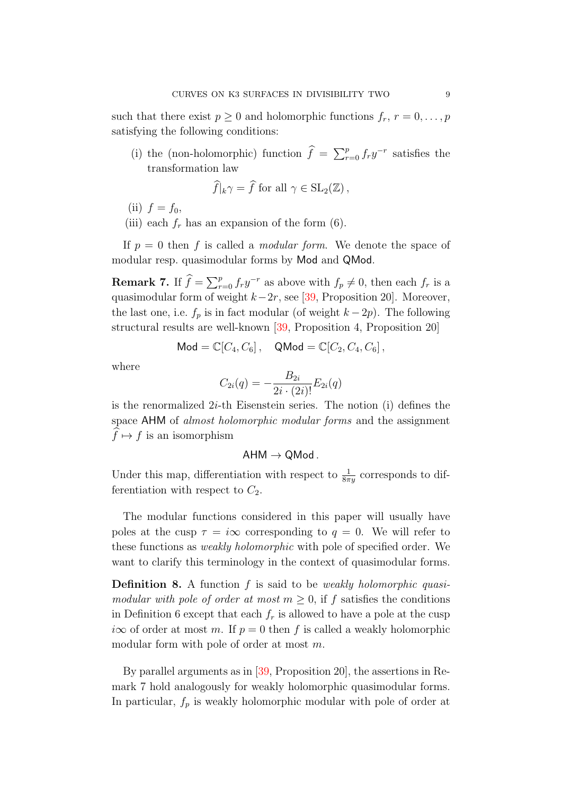such that there exist  $p \geq 0$  and holomorphic functions  $f_r$ ,  $r = 0, \ldots, p$ satisfying the following conditions:

(i) the (non-holomorphic) function  $\hat{f} = \sum_{r=0}^{p} f_r y^{-r}$  satisfies the transformation law

$$
\widehat{f}|_k \gamma = \widehat{f} \text{ for all } \gamma \in \text{SL}_2(\mathbb{Z}),
$$

- (ii)  $f = f_0$ ,
- (iii) each  $f_r$  has an expansion of the form [\(6\)](#page-7-1).

If  $p = 0$  then f is called a *modular form*. We denote the space of modular resp. quasimodular forms by Mod and QMod.

<span id="page-8-0"></span>**Remark 7.** If  $\widehat{f} = \sum_{r=0}^{p} f_r y^{-r}$  as above with  $f_p \neq 0$ , then each  $f_r$  is a quasimodular form of weight  $k-2r$ , see [\[39,](#page-47-4) Proposition 20]. Moreover, the last one, i.e.  $f_p$  is in fact modular (of weight  $k - 2p$ ). The following structural results are well-known [\[39,](#page-47-4) Proposition 4, Proposition 20]

$$
\mathsf{Mod} = \mathbb{C}[C_4, C_6], \quad \mathsf{QMod} = \mathbb{C}[C_2, C_4, C_6],
$$

where

$$
C_{2i}(q) = -\frac{B_{2i}}{2i \cdot (2i)!} E_{2i}(q)
$$

is the renormalized  $2i$ -th Eisenstein series. The notion (i) defines the space AHM of almost holomorphic modular forms and the assignment  $\widehat{f} \mapsto f$  is an isomorphism

$$
\mathsf{AHM} \to \mathsf{QMod}\,.
$$

Under this map, differentiation with respect to  $\frac{1}{8\pi y}$  corresponds to differentiation with respect to  $C_2$ .

The modular functions considered in this paper will usually have poles at the cusp  $\tau = i\infty$  corresponding to  $q = 0$ . We will refer to these functions as weakly holomorphic with pole of specified order. We want to clarify this terminology in the context of quasimodular forms.

Definition 8. A function f is said to be *weakly holomorphic quasi*modular with pole of order at most  $m \geq 0$ , if f satisfies the conditions in Definition [6](#page-7-2) except that each  $f_r$  is allowed to have a pole at the cusp  $i\infty$  of order at most m. If  $p = 0$  then f is called a weakly holomorphic modular form with pole of order at most m.

By parallel arguments as in [\[39,](#page-47-4) Proposition 20], the assertions in Remark [7](#page-8-0) hold analogously for weakly holomorphic quasimodular forms. In particular,  $f_p$  is weakly holomorphic modular with pole of order at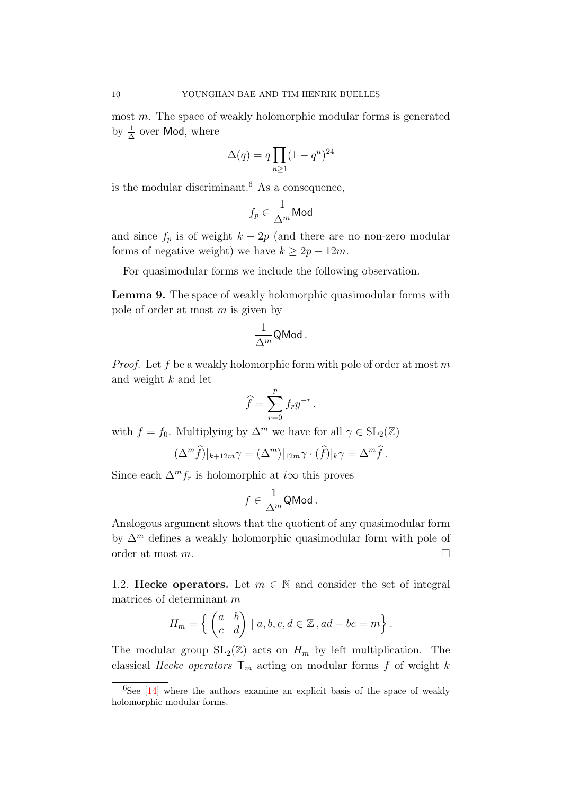most m. The space of weakly holomorphic modular forms is generated by  $\frac{1}{\Delta}$  over Mod, where

$$
\Delta(q) = q \prod_{n \ge 1} (1 - q^n)^{24}
$$

is the modular discriminant.<sup>[6](#page-9-0)</sup> As a consequence,

$$
f_p \in \frac{1}{\Delta^m} \mathsf{Mod}
$$

and since  $f_p$  is of weight  $k - 2p$  (and there are no non-zero modular forms of negative weight) we have  $k \geq 2p - 12m$ .

For quasimodular forms we include the following observation.

<span id="page-9-1"></span>Lemma 9. The space of weakly holomorphic quasimodular forms with pole of order at most  $m$  is given by

$$
\frac{1}{\Delta^m}{\sf QMod}\,.
$$

*Proof.* Let f be a weakly holomorphic form with pole of order at most m and weight k and let

$$
\widehat{f} = \sum_{r=0}^{p} f_r y^{-r},
$$

with  $f = f_0$ . Multiplying by  $\Delta^m$  we have for all  $\gamma \in SL_2(\mathbb{Z})$ 

$$
(\Delta^m \widehat{f})|_{k+12m}\gamma = (\Delta^m)|_{12m}\gamma \cdot (\widehat{f})|_k\gamma = \Delta^m \widehat{f}.
$$

Since each  $\Delta^m f_r$  is holomorphic at *i* $\infty$  this proves

$$
f\in \frac{1}{\Delta^m}{\sf QMod}\,.
$$

Analogous argument shows that the quotient of any quasimodular form by  $\Delta^m$  defines a weakly holomorphic quasimodular form with pole of order at most  $m$ .

1.2. Hecke operators. Let  $m \in \mathbb{N}$  and consider the set of integral matrices of determinant m

$$
H_m = \left\{ \begin{pmatrix} a & b \\ c & d \end{pmatrix} \mid a, b, c, d \in \mathbb{Z}, ad - bc = m \right\}.
$$

The modular group  $SL_2(\mathbb{Z})$  acts on  $H_m$  by left multiplication. The classical Hecke operators  $\mathsf{T}_m$  acting on modular forms f of weight k

<span id="page-9-0"></span> ${}^{6}$ See [\[14\]](#page-46-9) where the authors examine an explicit basis of the space of weakly holomorphic modular forms.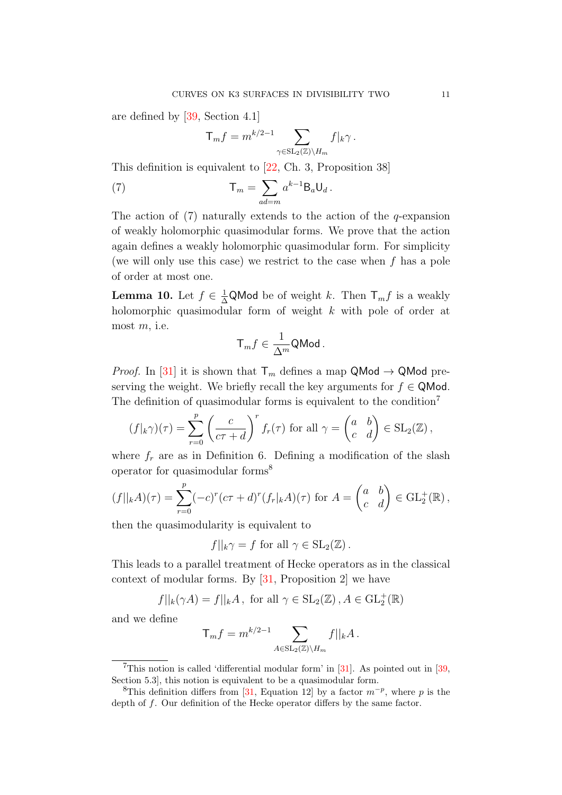are defined by [\[39,](#page-47-4) Section 4.1]

<span id="page-10-0"></span>
$$
T_m f = m^{k/2 - 1} \sum_{\gamma \in SL_2(\mathbb{Z}) \backslash H_m} f|_k \gamma.
$$

This definition is equivalent to [\[22,](#page-46-8) Ch. 3, Proposition 38]

(7) 
$$
\mathsf{T}_m = \sum_{ad=m} a^{k-1} \mathsf{B}_a \mathsf{U}_d.
$$

The action of  $(7)$  naturally extends to the action of the q-expansion of weakly holomorphic quasimodular forms. We prove that the action again defines a weakly holomorphic quasimodular form. For simplicity (we will only use this case) we restrict to the case when  $f$  has a pole of order at most one.

**Lemma 10.** Let  $f \in \frac{1}{\Delta}$ QMod be of weight k. Then  $\mathsf{T}_m f$  is a weakly holomorphic quasimodular form of weight k with pole of order at most  $m$ , i.e.

$$
\mathsf{T}_m f \in \frac{1}{\Delta^m} \mathsf{QMod}\,.
$$

*Proof.* In [\[31\]](#page-47-5) it is shown that  $\mathsf{T}_m$  defines a map QMod  $\rightarrow$  QMod preserving the weight. We briefly recall the key arguments for  $f \in Q$ Mod. The definition of quasimodular forms is equivalent to the condition<sup>[7](#page-10-1)</sup>

$$
(f|_{k}\gamma)(\tau) = \sum_{r=0}^{p} \left(\frac{c}{c\tau + d}\right)^r f_r(\tau) \text{ for all } \gamma = \begin{pmatrix} a & b \\ c & d \end{pmatrix} \in SL_2(\mathbb{Z}),
$$

where  $f_r$  are as in Definition [6.](#page-7-2) Defining a modification of the slash operator for quasimodular forms[8](#page-10-2)

$$
(f||_k A)(\tau) = \sum_{r=0}^p (-c)^r (c\tau + d)^r (f_r|_k A)(\tau) \text{ for } A = \begin{pmatrix} a & b \\ c & d \end{pmatrix} \in \text{GL}_2^+(\mathbb{R}),
$$

then the quasimodularity is equivalent to

$$
f||_k \gamma = f
$$
 for all  $\gamma \in SL_2(\mathbb{Z})$ .

This leads to a parallel treatment of Hecke operators as in the classical context of modular forms. By  $[31,$  Proposition 2] we have

$$
f||_k(\gamma A) = f||_k A
$$
, for all  $\gamma \in SL_2(\mathbb{Z})$ ,  $A \in GL_2^+(\mathbb{R})$ 

and we define

$$
T_m f = m^{k/2-1} \sum_{A \in SL_2(\mathbb{Z}) \backslash H_m} f||_k A.
$$

<span id="page-10-1"></span><sup>&</sup>lt;sup>7</sup>This notion is called 'differential modular form' in [\[31\]](#page-47-5). As pointed out in [\[39,](#page-47-4) Section 5.3], this notion is equivalent to be a quasimodular form.

<span id="page-10-2"></span><sup>&</sup>lt;sup>8</sup>This definition differs from [\[31,](#page-47-5) Equation 12] by a factor  $m^{-p}$ , where p is the depth of f. Our definition of the Hecke operator differs by the same factor.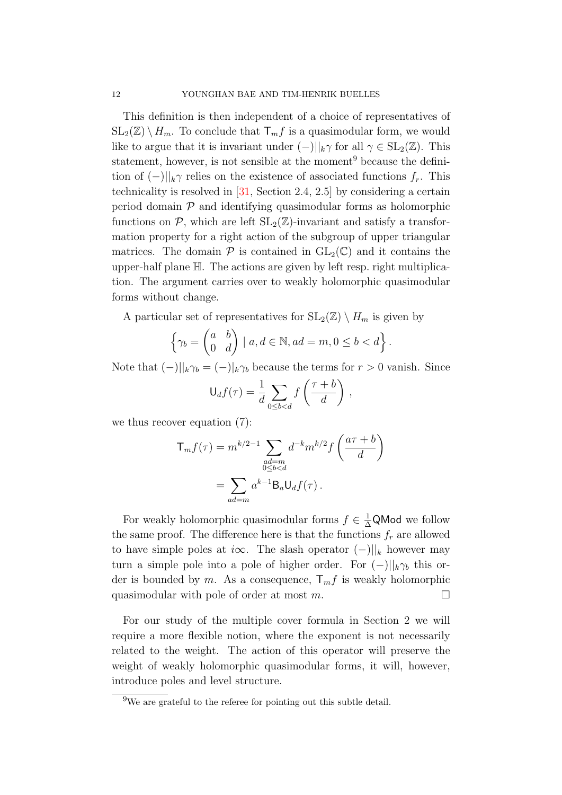This definition is then independent of a choice of representatives of  $SL_2(\mathbb{Z}) \setminus H_m$ . To conclude that  $\mathsf{T}_m f$  is a quasimodular form, we would like to argue that it is invariant under  $(-)||_k \gamma$  for all  $\gamma \in SL_2(\mathbb{Z})$ . This statement, however, is not sensible at the moment<sup>[9](#page-11-0)</sup> because the definition of  $(-)||_{k}$  relies on the existence of associated functions  $f_r$ . This technicality is resolved in [\[31,](#page-47-5) Section 2.4, 2.5] by considering a certain period domain  $P$  and identifying quasimodular forms as holomorphic functions on  $\mathcal{P}$ , which are left  $SL_2(\mathbb{Z})$ -invariant and satisfy a transformation property for a right action of the subgroup of upper triangular matrices. The domain  $P$  is contained in  $GL_2(\mathbb{C})$  and it contains the upper-half plane H. The actions are given by left resp. right multiplication. The argument carries over to weakly holomorphic quasimodular forms without change.

A particular set of representatives for  $SL_2(\mathbb{Z}) \setminus H_m$  is given by

$$
\left\{\gamma_b = \begin{pmatrix} a & b \\ 0 & d \end{pmatrix} \mid a, d \in \mathbb{N}, ad = m, 0 \le b < d \right\}.
$$

Note that  $(-)||_k \gamma_b = (-)||_k \gamma_b$  because the terms for  $r > 0$  vanish. Since

$$
\mathsf{U}_d f(\tau) = \frac{1}{d} \sum_{0 \le b < d} f\left(\frac{\tau + b}{d}\right),
$$

we thus recover equation [\(7\)](#page-10-0):

$$
\mathsf{T}_{m}f(\tau) = m^{k/2-1} \sum_{\substack{ad=m\\0\le b
$$
= \sum_{ad=m} a^{k-1} \mathsf{B}_{a} \mathsf{U}_{d}f(\tau).
$$
$$

For weakly holomorphic quasimodular forms  $f \in \frac{1}{\Delta}Q$ Mod we follow the same proof. The difference here is that the functions  $f_r$  are allowed to have simple poles at  $i\infty$ . The slash operator  $(-)||_k$  however may turn a simple pole into a pole of higher order. For  $(-)||_{k}\gamma_{b}$  this order is bounded by m. As a consequence,  $T_m f$  is weakly holomorphic quasimodular with pole of order at most  $m$ .

For our study of the multiple cover formula in Section [2](#page-14-0) we will require a more flexible notion, where the exponent is not necessarily related to the weight. The action of this operator will preserve the weight of weakly holomorphic quasimodular forms, it will, however, introduce poles and level structure.

<span id="page-11-0"></span><sup>9</sup>We are grateful to the referee for pointing out this subtle detail.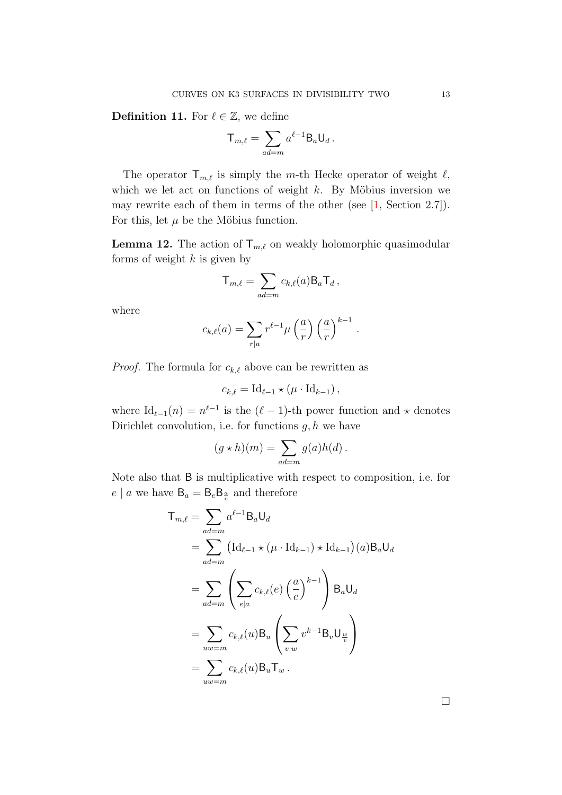<span id="page-12-1"></span>**Definition 11.** For  $\ell \in \mathbb{Z}$ , we define

$$
\mathsf{T}_{m,\ell} = \sum_{ad=m} a^{\ell-1} \mathsf{B}_a \mathsf{U}_d \,.
$$

The operator  $\mathsf{T}_{m,\ell}$  is simply the m-th Hecke operator of weight  $\ell$ , which we let act on functions of weight  $k$ . By Möbius inversion we may rewrite each of them in terms of the other (see [\[1,](#page-45-3) Section 2.7]). For this, let  $\mu$  be the Möbius function.

<span id="page-12-0"></span>**Lemma 12.** The action of  $\mathsf{T}_{m,\ell}$  on weakly holomorphic quasimodular forms of weight  $k$  is given by

$$
T_{m,\ell} = \sum_{ad=m} c_{k,\ell}(a) B_a T_d,
$$

where

$$
c_{k,\ell}(a) = \sum_{r|a} r^{\ell-1} \mu\left(\frac{a}{r}\right) \left(\frac{a}{r}\right)^{k-1}
$$

.

*Proof.* The formula for  $c_{k,\ell}$  above can be rewritten as

$$
c_{k,\ell} = \mathrm{Id}_{\ell-1} \star (\mu \cdot \mathrm{Id}_{k-1}),
$$

where  $\mathrm{Id}_{\ell-1}(n) = n^{\ell-1}$  is the  $(\ell-1)$ -th power function and  $\star$  denotes Dirichlet convolution, i.e. for functions  $g, h$  we have

$$
(g * h)(m) = \sum_{ad=m} g(a)h(d).
$$

Note also that B is multiplicative with respect to composition, i.e. for  $e \mid a$  we have  $B_a = B_e B_{\frac{a}{e}}$  and therefore

$$
T_{m,\ell} = \sum_{ad=m} a^{\ell-1} B_a U_d
$$
  
= 
$$
\sum_{ad=m} \left( \mathrm{Id}_{\ell-1} \star (\mu \cdot \mathrm{Id}_{k-1}) \star \mathrm{Id}_{k-1} \right) (a) B_a U_d
$$
  
= 
$$
\sum_{ad=m} \left( \sum_{e|a} c_{k,\ell}(e) \left( \frac{a}{e} \right)^{k-1} \right) B_a U_d
$$
  
= 
$$
\sum_{uw=m} c_{k,\ell}(u) B_u \left( \sum_{v|w} v^{k-1} B_v U_{\frac{w}{v}} \right)
$$
  
= 
$$
\sum_{uw=m} c_{k,\ell}(u) B_u T_w.
$$

 $\Box$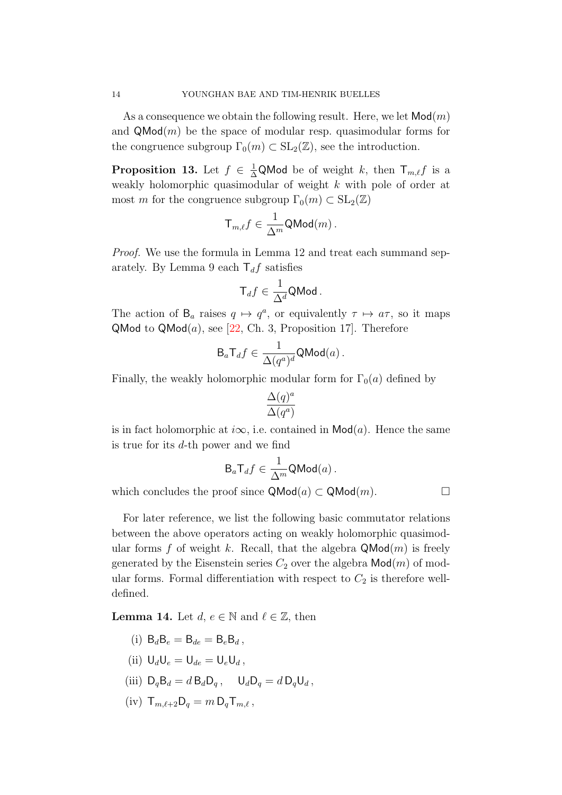As a consequence we obtain the following result. Here, we let  $\mathsf{Mod}(m)$ and  $\mathsf{QMod}(m)$  be the space of modular resp. quasimodular forms for the congruence subgroup  $\Gamma_0(m) \subset SL_2(\mathbb{Z})$ , see the introduction.

<span id="page-13-0"></span>**Proposition 13.** Let  $f \in \frac{1}{\Delta}$ QMod be of weight k, then  $\mathsf{T}_{m,\ell}f$  is a weakly holomorphic quasimodular of weight k with pole of order at most m for the congruence subgroup  $\Gamma_0(m) \subset SL_2(\mathbb{Z})$ 

$$
\mathsf{T}_{m,\ell}f\in\frac{1}{\Delta^m}\mathsf{QMod}(m)\,.
$$

Proof. We use the formula in Lemma [12](#page-12-0) and treat each summand sep-arately. By Lemma [9](#page-9-1) each  $T_d f$  satisfies

$$
\mathsf{T}_d f \in \frac{1}{\Delta^d} \mathsf{QMod}\,.
$$

The action of  $B_a$  raises  $q \mapsto q^a$ , or equivalently  $\tau \mapsto a\tau$ , so it maps QMod to QMod $(a)$ , see [\[22,](#page-46-8) Ch. 3, Proposition 17]. Therefore

$$
\mathsf{B}_a\mathsf{T}_df\in\frac{1}{\Delta(q^a)^d}\mathsf{QMod}(a)\,.
$$

Finally, the weakly holomorphic modular form for  $\Gamma_0(a)$  defined by

$$
\frac{\Delta(q)^a}{\Delta(q^a)}
$$

is in fact holomorphic at  $i\infty$ , i.e. contained in  $\mathsf{Mod}(a)$ . Hence the same is true for its d-th power and we find

$$
\mathsf{B}_{a}\mathsf{T}_{d}f \in \frac{1}{\Delta^{m}}\mathsf{QMod}(a)\,.
$$

which concludes the proof since  $\mathsf{QMod}(a) \subset \mathsf{QMod}(m)$ .

For later reference, we list the following basic commutator relations between the above operators acting on weakly holomorphic quasimodular forms f of weight k. Recall, that the algebra  $\mathsf{QMod}(m)$  is freely generated by the Eisenstein series  $C_2$  over the algebra  $\mathsf{Mod}(m)$  of modular forms. Formal differentiation with respect to  $C_2$  is therefore welldefined.

<span id="page-13-1"></span>**Lemma 14.** Let  $d, e \in \mathbb{N}$  and  $\ell \in \mathbb{Z}$ , then

- (i)  $B_d B_e = B_{de} = B_e B_d$ .
- (ii)  $U_dU_e = U_{de} = U_eU_d$ ,
- (iii)  $D_q B_d = d B_d D_q$ ,  $U_d D_q = d D_q U_d$ ,
- (iv)  $T_{m,\ell+2}D_a = m D_a T_{m,\ell}$ ,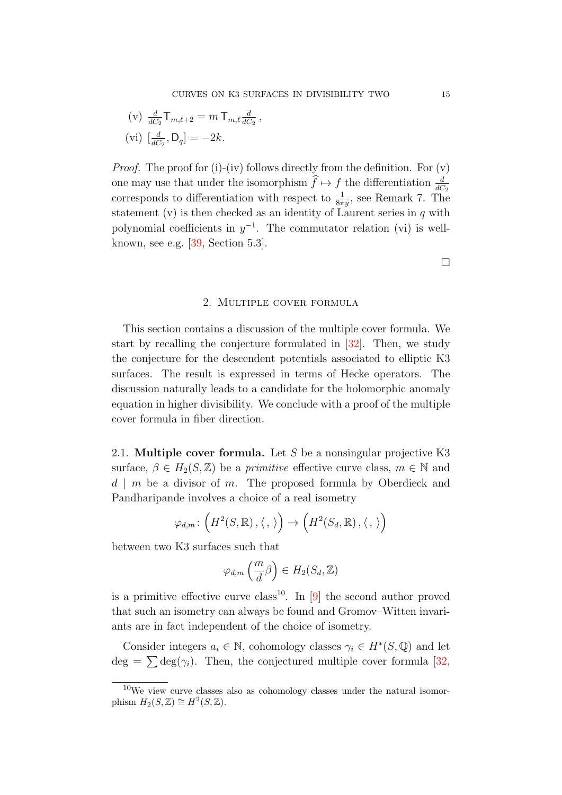(v) 
$$
\frac{d}{dC_2} T_{m,\ell+2} = m T_{m,\ell} \frac{d}{dC_2}
$$
,  
(vi)  $\left[\frac{d}{dC_2}, D_q\right] = -2k$ .

*Proof.* The proof for (i)-(iv) follows directly from the definition. For  $(v)$ one may use that under the isomorphism  $\hat{f} \mapsto f$  the differentiation  $\frac{d}{dC_2}$ corresponds to differentiation with respect to  $\frac{1}{8\pi y}$ , see Remark [7.](#page-8-0) The statement (v) is then checked as an identity of Laurent series in  $q$  with polynomial coefficients in  $y^{-1}$ . The commutator relation (vi) is wellknown, see e.g. [\[39,](#page-47-4) Section 5.3].

 $\Box$ 

#### 2. Multiple cover formula

<span id="page-14-0"></span>This section contains a discussion of the multiple cover formula. We start by recalling the conjecture formulated in [\[32\]](#page-47-3). Then, we study the conjecture for the descendent potentials associated to elliptic K3 surfaces. The result is expressed in terms of Hecke operators. The discussion naturally leads to a candidate for the holomorphic anomaly equation in higher divisibility. We conclude with a proof of the multiple cover formula in fiber direction.

2.1. **Multiple cover formula.** Let  $S$  be a nonsingular projective K3 surface,  $\beta \in H_2(S, \mathbb{Z})$  be a *primitive* effective curve class,  $m \in \mathbb{N}$  and  $d \mid m$  be a divisor of m. The proposed formula by Oberdieck and Pandharipande involves a choice of a real isometry

$$
\varphi_{d,m}\colon \left(H^2(S,\mathbb{R})\,,\langle\,,\,\rangle\right)\to \left(H^2(S_d,\mathbb{R})\,,\langle\,,\,\rangle\right)
$$

between two K3 surfaces such that

$$
\varphi_{d,m}\left(\frac{m}{d}\beta\right) \in H_2(S_d, \mathbb{Z})
$$

is a primitive effective curve class<sup>[10](#page-14-1)</sup>. In [\[9\]](#page-46-10) the second author proved that such an isometry can always be found and Gromov–Witten invariants are in fact independent of the choice of isometry.

Consider integers  $a_i \in \mathbb{N}$ , cohomology classes  $\gamma_i \in H^*(S, \mathbb{Q})$  and let  $deg = \sum deg(\gamma_i)$ . Then, the conjectured multiple cover formula [\[32,](#page-47-3)

<span id="page-14-1"></span> $10$ We view curve classes also as cohomology classes under the natural isomorphism  $H_2(S, \mathbb{Z}) \cong H^2(S, \mathbb{Z}).$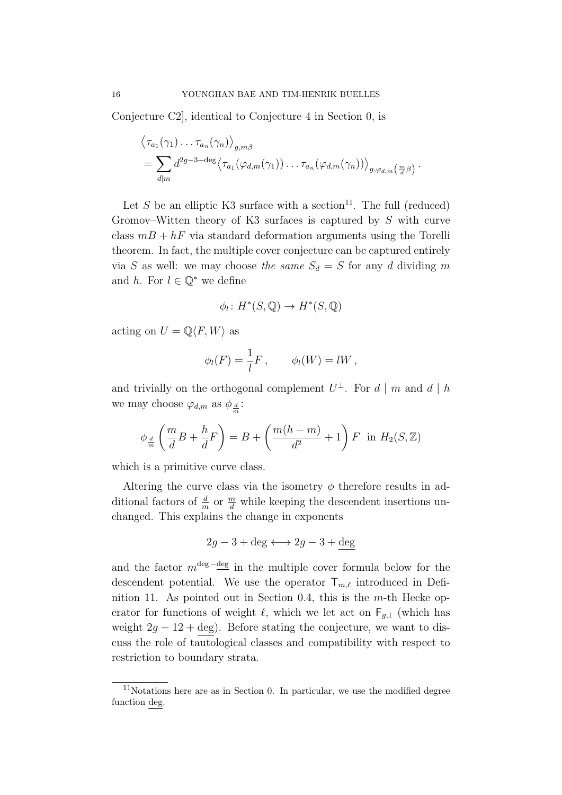Conjecture C2], identical to Conjecture [4](#page-5-4) in Section [0,](#page-1-0) is

$$
\langle \tau_{a_1}(\gamma_1) \dots \tau_{a_n}(\gamma_n) \rangle_{g,m\beta}
$$
  
=  $\sum_{d|m} d^{2g-3+\text{deg}} \langle \tau_{a_1}(\varphi_{d,m}(\gamma_1)) \dots \tau_{a_n}(\varphi_{d,m}(\gamma_n)) \rangle_{g,\varphi_{d,m}}(\frac{m}{d}\beta)$ .

Let S be an elliptic K3 surface with a section<sup>[11](#page-15-0)</sup>. The full (reduced) Gromov–Witten theory of K3 surfaces is captured by S with curve class  $m + hF$  via standard deformation arguments using the Torelli theorem. In fact, the multiple cover conjecture can be captured entirely via S as well: we may choose the same  $S_d = S$  for any d dividing m and h. For  $l \in \mathbb{Q}^*$  we define

$$
\phi_l \colon H^*(S, \mathbb{Q}) \to H^*(S, \mathbb{Q})
$$

acting on  $U = \mathbb{Q}\langle F, W \rangle$  as

$$
\phi_l(F) = \frac{1}{l}F, \qquad \phi_l(W) = lW,
$$

and trivially on the orthogonal complement  $U^{\perp}$ . For  $d | m$  and  $d | h$ we may choose  $\varphi_{d,m}$  as  $\phi_{\frac{d}{m}}$ :

$$
\phi_{\frac{d}{m}}\left(\frac{m}{d}B + \frac{h}{d}F\right) = B + \left(\frac{m(h-m)}{d^2} + 1\right)F \text{ in } H_2(S, \mathbb{Z})
$$

which is a primitive curve class.

Altering the curve class via the isometry  $\phi$  therefore results in additional factors of  $\frac{d}{m}$  or  $\frac{m}{d}$  while keeping the descendent insertions unchanged. This explains the change in exponents

$$
2g - 3 + \deg \longleftrightarrow 2g - 3 + \deg
$$

and the factor  $m^{\text{deg}}$  -deg in the multiple cover formula below for the descendent potential. We use the operator  $T_{m,\ell}$  introduced in Defi-nition [11.](#page-12-1) As pointed out in Section [0.4,](#page-6-0) this is the  $m$ -th Hecke operator for functions of weight  $\ell$ , which we let act on  $F_{g,1}$  (which has weight  $2g - 12 + \text{deg}$ . Before stating the conjecture, we want to discuss the role of tautological classes and compatibility with respect to restriction to boundary strata.

<span id="page-15-0"></span> $11$ Notations here are as in Section [0.](#page-1-0) In particular, we use the modified degree function deg.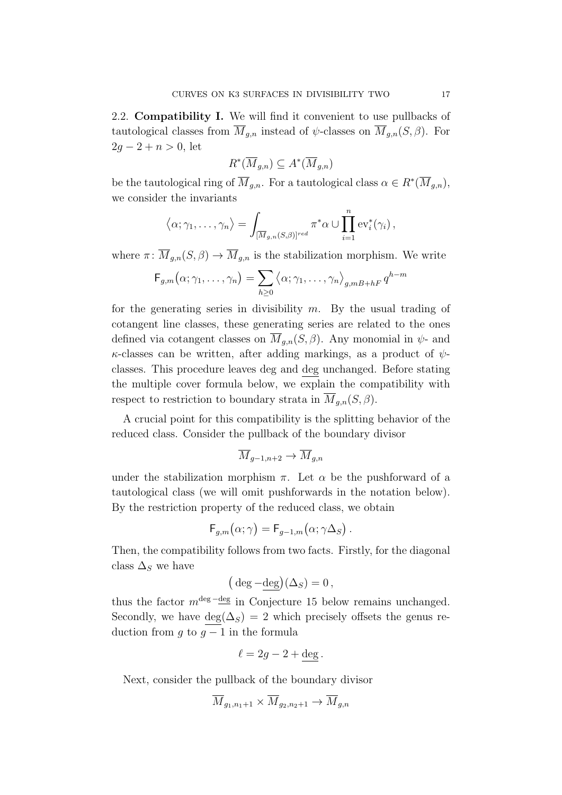<span id="page-16-0"></span>2.2. Compatibility I. We will find it convenient to use pullbacks of tautological classes from  $\overline{M}_{g,n}$  instead of  $\psi$ -classes on  $\overline{M}_{g,n}(S,\beta)$ . For  $2g - 2 + n > 0$ , let

$$
R^*(\overline{M}_{g,n}) \subseteq A^*(\overline{M}_{g,n})
$$

be the tautological ring of  $\overline{M}_{g,n}$ . For a tautological class  $\alpha \in R^*(\overline{M}_{g,n}),$ we consider the invariants

$$
\langle \alpha; \gamma_1, \ldots, \gamma_n \rangle = \int_{[\overline{M}_{g,n}(S,\beta)]^{red}} \pi^* \alpha \cup \prod_{i=1}^n \text{ev}_i^*(\gamma_i),
$$

where  $\pi \colon \overline{M}_{g,n}(S,\beta) \to \overline{M}_{g,n}$  is the stabilization morphism. We write

$$
F_{g,m}(\alpha;\gamma_1,\ldots,\gamma_n)=\sum_{h\geq 0}\left\langle \alpha;\gamma_1,\ldots,\gamma_n\right\rangle_{g,mB+hF}q^{h-m}
$$

for the generating series in divisibility  $m$ . By the usual trading of cotangent line classes, these generating series are related to the ones defined via cotangent classes on  $\overline{M}_{a,n}(S,\beta)$ . Any monomial in  $\psi$ - and  $\kappa$ -classes can be written, after adding markings, as a product of  $\psi$ classes. This procedure leaves deg and deg unchanged. Before stating the multiple cover formula below, we explain the compatibility with respect to restriction to boundary strata in  $M_{g,n}(S,\beta)$ .

A crucial point for this compatibility is the splitting behavior of the reduced class. Consider the pullback of the boundary divisor

$$
\overline{M}_{g-1,n+2}\to\overline{M}_{g,n}
$$

under the stabilization morphism  $\pi$ . Let  $\alpha$  be the pushforward of a tautological class (we will omit pushforwards in the notation below). By the restriction property of the reduced class, we obtain

$$
\mathsf{F}_{g,m}(\alpha;\gamma)=\mathsf{F}_{g-1,m}(\alpha;\gamma\Delta_S).
$$

Then, the compatibility follows from two facts. Firstly, for the diagonal class  $\Delta_S$  we have

$$
(\deg - \underline{\deg})(\Delta_S) = 0,
$$

thus the factor  $m^{\text{deg}}$  –deg in Conjecture [15](#page-17-0) below remains unchanged. Secondly, we have  $\deg(\Delta_S) = 2$  which precisely offsets the genus reduction from g to  $g - 1$  in the formula

$$
\ell = 2g - 2 + \deg.
$$

Next, consider the pullback of the boundary divisor

$$
\overline{M}_{g_1, n_1+1} \times \overline{M}_{g_2, n_2+1} \to \overline{M}_{g, n}
$$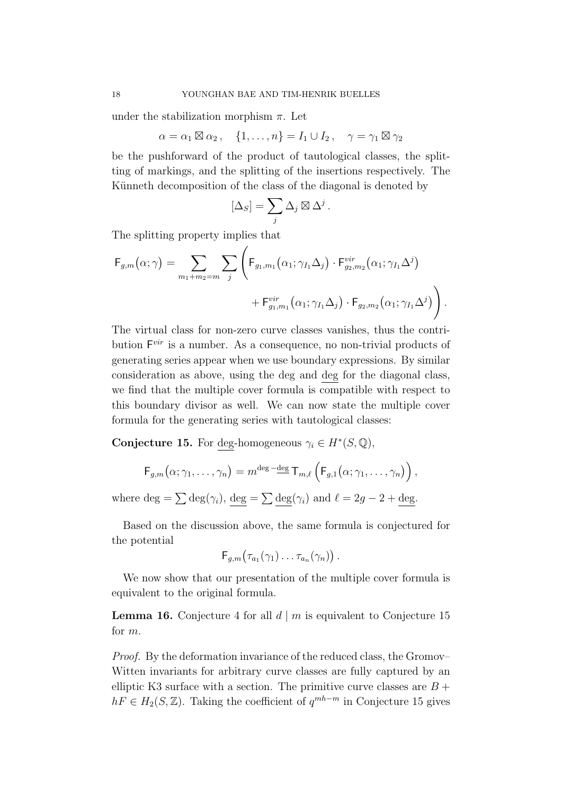under the stabilization morphism  $\pi$ . Let

$$
\alpha = \alpha_1 \boxtimes \alpha_2 , \quad \{1, \ldots, n\} = I_1 \cup I_2 , \quad \gamma = \gamma_1 \boxtimes \gamma_2
$$

be the pushforward of the product of tautological classes, the splitting of markings, and the splitting of the insertions respectively. The Künneth decomposition of the class of the diagonal is denoted by

$$
[\Delta_S] = \sum_j \Delta_j \boxtimes \Delta^j.
$$

The splitting property implies that

$$
\mathsf{F}_{g,m}(\alpha;\gamma) = \sum_{m_1+m_2=m} \sum_j \left( \mathsf{F}_{g_1,m_1}(\alpha_1;\gamma_{I_1}\Delta_j) \cdot \mathsf{F}_{g_2,m_2}^{vir}(\alpha_1;\gamma_{I_1}\Delta^j) + \mathsf{F}_{g_1,m_1}^{vir}(\alpha_1;\gamma_{I_1}\Delta_j) \cdot \mathsf{F}_{g_2,m_2}(\alpha_1;\gamma_{I_1}\Delta^j) \right).
$$

The virtual class for non-zero curve classes vanishes, thus the contribution  $F^{vir}$  is a number. As a consequence, no non-trivial products of generating series appear when we use boundary expressions. By similar consideration as above, using the deg and deg for the diagonal class, we find that the multiple cover formula is compatible with respect to this boundary divisor as well. We can now state the multiple cover formula for the generating series with tautological classes:

<span id="page-17-0"></span>**Conjecture 15.** For deg-homogeneous  $\gamma_i \in H^*(S, \mathbb{Q})$ ,

$$
F_{g,m}\big(\alpha;\gamma_1,\ldots,\gamma_n\big)=m^{\deg-\underline{\deg}}\,T_{m,\ell}\left(F_{g,1}\big(\alpha;\gamma_1,\ldots,\gamma_n\big)\right),
$$

where  $\deg = \sum \deg(\gamma_i)$ ,  $\deg = \sum \deg(\gamma_i)$  and  $\ell = 2g - 2 + \deg$ .

Based on the discussion above, the same formula is conjectured for the potential

$$
\mathsf{F}_{g,m}(\tau_{a_1}(\gamma_1)\ldots\tau_{a_n}(\gamma_n))\ .
$$

We now show that our presentation of the multiple cover formula is equivalent to the original formula.

<span id="page-17-1"></span>**Lemma 16.** Conjecture [4](#page-5-4) for all  $d \mid m$  is equivalent to Conjecture [15](#page-17-0) for m.

Proof. By the deformation invariance of the reduced class, the Gromov– Witten invariants for arbitrary curve classes are fully captured by an elliptic K3 surface with a section. The primitive curve classes are  $B +$  $hF \in H_2(S, \mathbb{Z})$ . Taking the coefficient of  $q^{mh-m}$  in Conjecture [15](#page-17-0) gives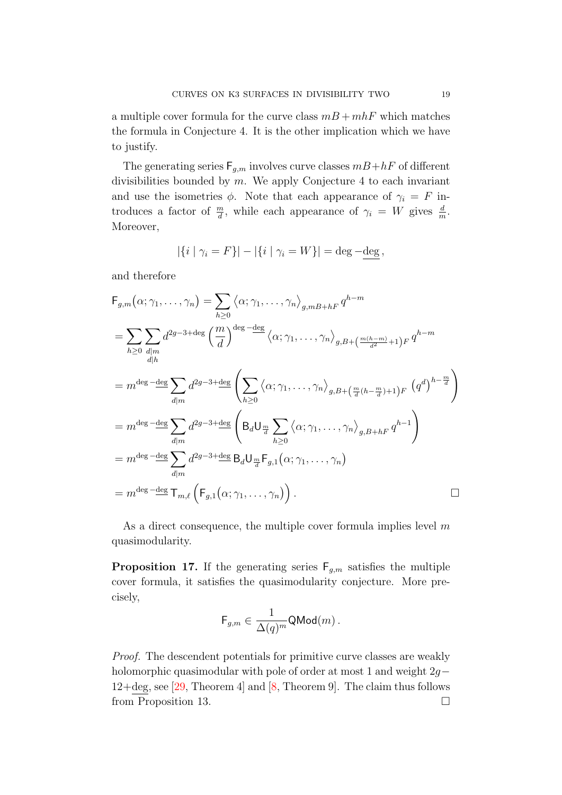a multiple cover formula for the curve class  $m + mh$  which matches the formula in Conjecture [4.](#page-5-4) It is the other implication which we have to justify.

The generating series  $F_{g,m}$  involves curve classes  $m + hF$  of different divisibilities bounded by  $m$ . We apply Conjecture [4](#page-5-4) to each invariant and use the isometries  $\phi$ . Note that each appearance of  $\gamma_i = F$  introduces a factor of  $\frac{m}{d}$ , while each appearance of  $\gamma_i = W$  gives  $\frac{d}{m}$ . Moreover,

$$
|\{i \mid \gamma_i = F\}| - |\{i \mid \gamma_i = W\}| = \deg - \underline{\deg},
$$

and therefore

$$
F_{g,m}(\alpha; \gamma_1, ..., \gamma_n) = \sum_{h \ge 0} \langle \alpha; \gamma_1, ..., \gamma_n \rangle_{g,mB+hF} q^{h-m}
$$
  
\n
$$
= \sum_{h \ge 0} \sum_{d|m} d^{2g-3+ \text{deg}} \left( \frac{m}{d} \right)^{\text{deg}} \frac{-\text{deg}}{\left( \alpha; \gamma_1, ..., \gamma_n \right)_{g,B+ \left( \frac{m(h-m)}{d^2} + 1 \right)F} q^{h-m}
$$
  
\n
$$
= m^{\text{deg}} \frac{-\text{deg}}{\text{deg}} \sum_{d|m} d^{2g-3+ \text{deg}} \left( \sum_{h \ge 0} \langle \alpha; \gamma_1, ..., \gamma_n \rangle_{g,B+ \left( \frac{m}{d} (h - \frac{m}{d}) + 1 \right)F} (q^d)^{h - \frac{m}{d}} \right)
$$
  
\n
$$
= m^{\text{deg}} \frac{-\text{deg}}{\text{deg}} \sum_{d|m} d^{2g-3+ \text{deg}} \left( B_d U_{\frac{m}{d}} \sum_{h \ge 0} \langle \alpha; \gamma_1, ..., \gamma_n \rangle_{g,B+hF} q^{h-1} \right)
$$
  
\n
$$
= m^{\text{deg}} \frac{-\text{deg}}{\text{deg}} \sum_{d|m} d^{2g-3+ \text{deg}} B_d U_{\frac{m}{d}} F_{g,1}(\alpha; \gamma_1, ..., \gamma_n)
$$
  
\n
$$
= m^{\text{deg}} \frac{-\text{deg}}{\text{deg}} T_{m,\ell} \left( F_{g,1}(\alpha; \gamma_1, ..., \gamma_n) \right).
$$

As a direct consequence, the multiple cover formula implies level  $m$ quasimodularity.

<span id="page-18-0"></span>**Proposition 17.** If the generating series  $F_{q,m}$  satisfies the multiple cover formula, it satisfies the quasimodularity conjecture. More precisely,

$$
\mathsf{F}_{g,m} \in \frac{1}{\Delta(q)^m} \mathsf{QMod}(m)\,.
$$

Proof. The descendent potentials for primitive curve classes are weakly holomorphic quasimodular with pole of order at most 1 and weight 2g− 12+deg, see [\[29,](#page-47-0) Theorem 4] and [\[8,](#page-46-0) Theorem 9]. The claim thus follows from Proposition [13.](#page-13-0)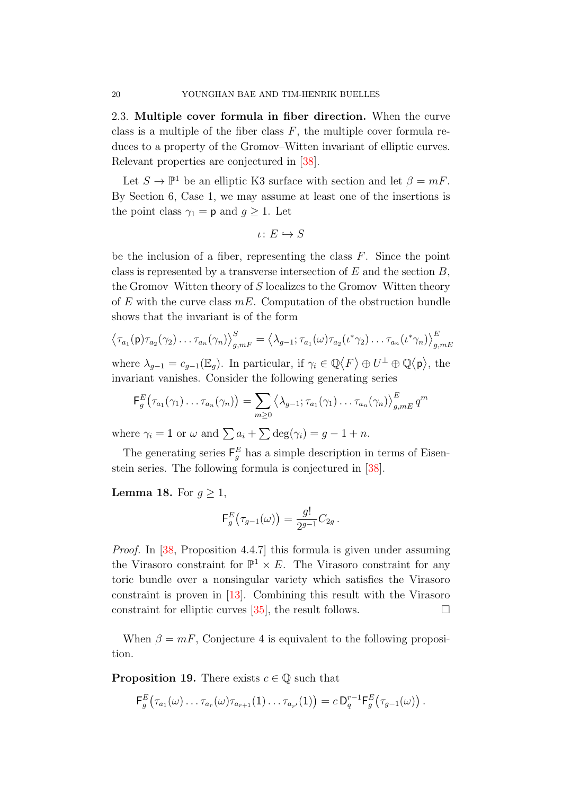2.3. Multiple cover formula in fiber direction. When the curve class is a multiple of the fiber class  $F$ , the multiple cover formula reduces to a property of the Gromov–Witten invariant of elliptic curves. Relevant properties are conjectured in [\[38\]](#page-47-6).

Let  $S \to \mathbb{P}^1$  be an elliptic K3 surface with section and let  $\beta = mF$ . By Section [6,](#page-40-0) Case 1, we may assume at least one of the insertions is the point class  $\gamma_1 = \mathsf{p}$  and  $g \geq 1$ . Let

$$
\iota\colon E\hookrightarrow S
$$

be the inclusion of a fiber, representing the class  $F$ . Since the point class is represented by a transverse intersection of  $E$  and the section  $B$ , the Gromov–Witten theory of S localizes to the Gromov–Witten theory of  $E$  with the curve class  $mE$ . Computation of the obstruction bundle shows that the invariant is of the form

$$
\left\langle \tau_{a_1}(\mathbf{p})\tau_{a_2}(\gamma_2)\ldots\tau_{a_n}(\gamma_n)\right\rangle_{g,mF}^S = \left\langle \lambda_{g-1};\tau_{a_1}(\omega)\tau_{a_2}(\iota^*\gamma_2)\ldots\tau_{a_n}(\iota^*\gamma_n)\right\rangle_{g,mE}^E
$$

where  $\lambda_{g-1} = c_{g-1}(\mathbb{E}_g)$ . In particular, if  $\gamma_i \in \mathbb{Q}\langle F \rangle \oplus U^{\perp} \oplus \mathbb{Q}\langle \mathsf{p} \rangle$ , the invariant vanishes. Consider the following generating series

$$
\mathsf{F}_g^E(\tau_{a_1}(\gamma_1)\ldots\tau_{a_n}(\gamma_n))=\sum_{m\geq 0}\left\langle \lambda_{g-1};\tau_{a_1}(\gamma_1)\ldots\tau_{a_n}(\gamma_n)\right\rangle_{g,mE}^E q^m
$$

where  $\gamma_i = 1$  or  $\omega$  and  $\sum a_i + \sum \deg(\gamma_i) = g - 1 + n$ .

The generating series  $\mathsf{F}_g^E$  has a simple description in terms of Eisenstein series. The following formula is conjectured in [\[38\]](#page-47-6).

**Lemma 18.** For  $q > 1$ ,

$$
\mathsf{F}_g^E(\tau_{g-1}(\omega)) = \frac{g!}{2^{g-1}}C_{2g}.
$$

Proof. In [\[38,](#page-47-6) Proposition 4.4.7] this formula is given under assuming the Virasoro constraint for  $\mathbb{P}^1 \times E$ . The Virasoro constraint for any toric bundle over a nonsingular variety which satisfies the Virasoro constraint is proven in [\[13\]](#page-46-11). Combining this result with the Virasoro constraint for elliptic curves  $[35]$ , the result follows.

When  $\beta = mF$ , Conjecture [4](#page-5-4) is equivalent to the following proposition.

**Proposition 19.** There exists  $c \in \mathbb{Q}$  such that

$$
\mathsf{F}^E_g\big(\tau_{a_1}(\omega)\dots\tau_{a_r}(\omega)\tau_{a_{r+1}}(1)\dots\tau_{a_{r'}}(1)\big)=c\,\mathsf{D}^{r-1}_q\mathsf{F}^E_g\big(\tau_{g-1}(\omega)\big)\,.
$$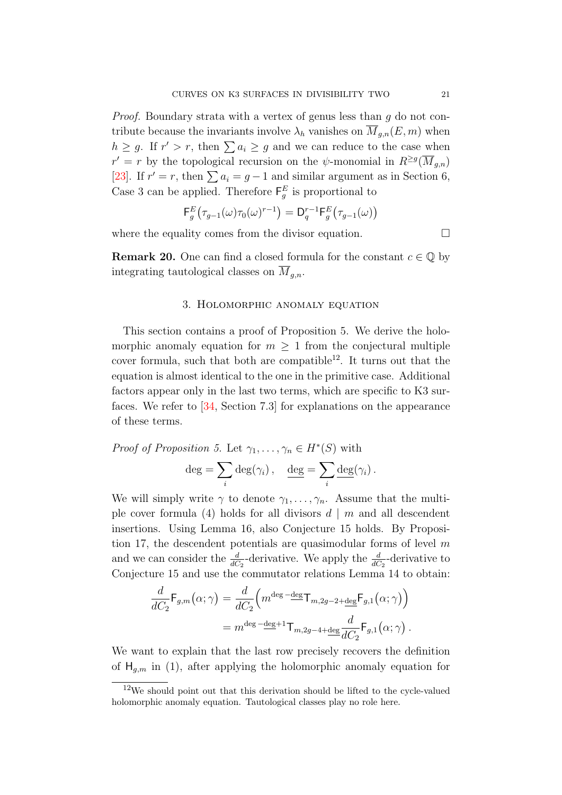*Proof.* Boundary strata with a vertex of genus less than  $q$  do not contribute because the invariants involve  $\lambda_h$  vanishes on  $\overline{M}_{g,n}(E,m)$  when  $h \geq g$ . If  $r' > r$ , then  $\sum a_i \geq g$  and we can reduce to the case when  $r' = r$  by the topological recursion on the  $\psi$ -monomial in  $R^{\geq g}(\overline{M}_{g,n})$ [\[23\]](#page-46-12). If  $r' = r$ , then  $\sum a_i = g - 1$  and similar argument as in Section [6,](#page-40-0) Case 3 can be applied. Therefore  $\mathsf{F}_g^E$  is proportional to

$$
\mathsf{F}_g^E(\tau_{g-1}(\omega)\tau_0(\omega)^{r-1}) = \mathsf{D}_q^{r-1}\mathsf{F}_g^E(\tau_{g-1}(\omega))
$$

where the equality comes from the divisor equation.  $\Box$ 

**Remark 20.** One can find a closed formula for the constant  $c \in \mathbb{Q}$  by integrating tautological classes on  $M_{q,n}$ .

### 3. Holomorphic anomaly equation

<span id="page-20-0"></span>This section contains a proof of Proposition [5.](#page-5-5) We derive the holomorphic anomaly equation for  $m \geq 1$  from the conjectural multiple cover formula, such that both are compatible<sup>[12](#page-20-1)</sup>. It turns out that the equation is almost identical to the one in the primitive case. Additional factors appear only in the last two terms, which are specific to K3 surfaces. We refer to [\[34,](#page-47-2) Section 7.3] for explanations on the appearance of these terms.

Proof of Proposition 5. Let 
$$
\gamma_1, ..., \gamma_n \in H^*(S)
$$
 with  
\n
$$
\deg = \sum_i \deg(\gamma_i), \quad \underline{\deg} = \sum_i \underline{\deg}(\gamma_i).
$$

We will simply write  $\gamma$  to denote  $\gamma_1, \ldots, \gamma_n$ . Assume that the multi-ple cover formula [\(4\)](#page-5-2) holds for all divisors  $d \mid m$  and all descendent insertions. Using Lemma [16,](#page-17-1) also Conjecture [15](#page-17-0) holds. By Proposi-tion [17,](#page-18-0) the descendent potentials are quasimodular forms of level  $m$ and we can consider the  $\frac{d}{dC_2}$ -derivative. We apply the  $\frac{d}{dC_2}$ -derivative to Conjecture [15](#page-17-0) and use the commutator relations Lemma [14](#page-13-1) to obtain:

$$
\frac{d}{dC_2} \mathsf{F}_{g,m}(\alpha; \gamma) = \frac{d}{dC_2} \Big( m^{\deg - \deg} \mathsf{T}_{m, 2g-2 + \deg} \mathsf{F}_{g,1}(\alpha; \gamma) \Big)
$$

$$
= m^{\deg - \deg + 1} \mathsf{T}_{m, 2g-4 + \deg} \frac{d}{dC_2} \mathsf{F}_{g,1}(\alpha; \gamma) .
$$

We want to explain that the last row precisely recovers the definition of  $H_{q,m}$  in [\(1\)](#page-4-3), after applying the holomorphic anomaly equation for

<span id="page-20-1"></span> $12$ We should point out that this derivation should be lifted to the cycle-valued holomorphic anomaly equation. Tautological classes play no role here.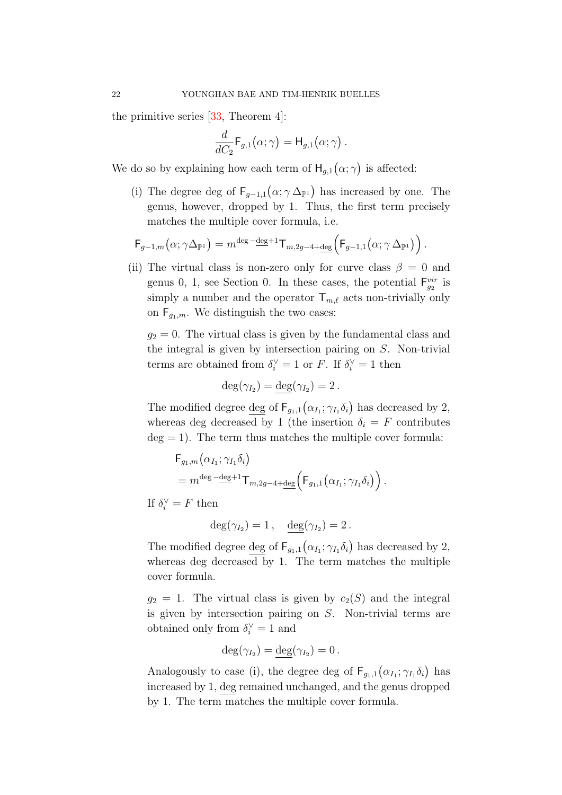the primitive series [\[33,](#page-47-1) Theorem 4]:

$$
\frac{d}{dC_2}\mathsf{F}_{g,1}(\alpha;\gamma)=\mathsf{H}_{g,1}(\alpha;\gamma).
$$

We do so by explaining how each term of  $H_{g,1}(\alpha;\gamma)$  is affected:

(i) The degree deg of  $F_{g-1,1}(\alpha;\gamma \Delta_{\mathbb{P}^1})$  has increased by one. The genus, however, dropped by 1. Thus, the first term precisely matches the multiple cover formula, i.e.

$$
\mathsf{F}_{g-1,m}(\alpha;\gamma\Delta_{\mathbb{P}^1})=m^{\deg-\underline{\deg}+1}\mathsf{T}_{m,2g-4+\underline{\deg}}\Big(\mathsf{F}_{g-1,1}(\alpha;\gamma\Delta_{\mathbb{P}^1})\Big).
$$

(ii) The virtual class is non-zero only for curve class  $\beta = 0$  and genus 0, 1, see Section [0.](#page-1-0) In these cases, the potential  $F_{g_2}^{vir}$  is simply a number and the operator  $\mathsf{T}_{m,\ell}$  acts non-trivially only on  $F_{g_1,m}$ . We distinguish the two cases:

 $g_2 = 0$ . The virtual class is given by the fundamental class and the integral is given by intersection pairing on S. Non-trivial terms are obtained from  $\delta_i^{\vee} = 1$  or F. If  $\delta_i^{\vee} = 1$  then

$$
\deg(\gamma_{I_2}) = \underline{\deg}(\gamma_{I_2}) = 2.
$$

The modified degree <u>deg</u> of  $F_{g_1,1}(\alpha_{I_1}; \gamma_{I_1} \delta_i)$  has decreased by 2, whereas deg decreased by 1 (the insertion  $\delta_i = F$  contributes  $deg = 1$ . The term thus matches the multiple cover formula:

$$
F_{g_1,m}(\alpha_{I_1}; \gamma_{I_1}\delta_i)
$$
  
=  $m^{\deg - \deg + 1}T_{m,2g-4+\deg} (F_{g_1,1}(\alpha_{I_1}; \gamma_{I_1}\delta_i)).$ 

If  $\delta_i^{\vee} = F$  then

$$
\deg(\gamma_{I_2})=1\,,\quad \underline{\deg}(\gamma_{I_2})=2\,.
$$

The modified degree deg of  $F_{g_1,1}(\alpha_{I_1}; \gamma_{I_1} \delta_i)$  has decreased by 2, whereas deg decreased by 1. The term matches the multiple cover formula.

 $g_2 = 1$ . The virtual class is given by  $c_2(S)$  and the integral is given by intersection pairing on S. Non-trivial terms are obtained only from  $\delta_i^{\vee} = 1$  and

$$
\deg(\gamma_{I_2})=\underline{\deg}(\gamma_{I_2})=0.
$$

Analogously to case (i), the degree deg of  $\mathsf{F}_{g_1,1}(\alpha_{I_1};\gamma_{I_1}\delta_i)$  has increased by 1, deg remained unchanged, and the genus dropped by 1. The term matches the multiple cover formula.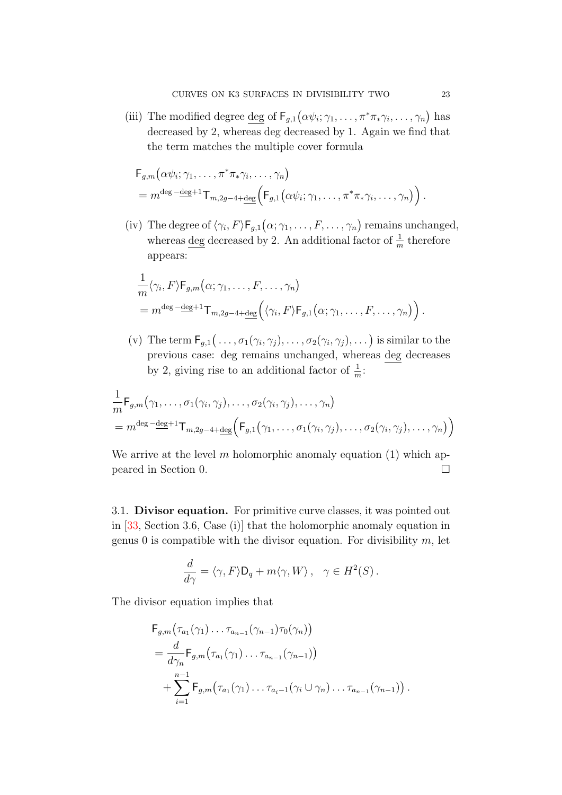(iii) The modified degree deg of  $F_{g,1}(\alpha \psi_i; \gamma_1, \ldots, \pi^* \pi_* \gamma_i, \ldots, \gamma_n)$  has decreased by 2, whereas deg decreased by 1. Again we find that the term matches the multiple cover formula

$$
F_{g,m}(\alpha \psi_i; \gamma_1, \dots, \pi^* \pi_* \gamma_i, \dots, \gamma_n)
$$
  
=  $m^{\deg - \deg + 1} T_{m, 2g - 4 + \deg} (F_{g,1}(\alpha \psi_i; \gamma_1, \dots, \pi^* \pi_* \gamma_i, \dots, \gamma_n))$ 

(iv) The degree of  $\langle \gamma_i, F \rangle \mathsf{F}_{g,1}(\alpha; \gamma_1, \ldots, F, \ldots, \gamma_n)$  remains unchanged, whereas  $\deg$  decreased by 2. An additional factor of  $\frac{1}{m}$  therefore appears:

$$
\frac{1}{m} \langle \gamma_i, F \rangle \mathsf{F}_{g,m}(\alpha; \gamma_1, \dots, F, \dots, \gamma_n) \n= m^{\deg - \deg + 1} \mathsf{T}_{m,2g-4+\deg} \Big( \langle \gamma_i, F \rangle \mathsf{F}_{g,1}(\alpha; \gamma_1, \dots, F, \dots, \gamma_n) \Big).
$$

(v) The term  $\mathsf{F}_{g,1}(\ldots,\sigma_1(\gamma_i,\gamma_j),\ldots,\sigma_2(\gamma_i,\gamma_j),\ldots)$  is similar to the previous case: deg remains unchanged, whereas deg decreases by 2, giving rise to an additional factor of  $\frac{1}{m}$ .

$$
\frac{1}{m} \mathsf{F}_{g,m}(\gamma_1, \ldots, \sigma_1(\gamma_i, \gamma_j), \ldots, \sigma_2(\gamma_i, \gamma_j), \ldots, \gamma_n)
$$
\n
$$
= m^{\deg - \deg + 1} \mathsf{T}_{m,2g-4+\deg} \Big( \mathsf{F}_{g,1}(\gamma_1, \ldots, \sigma_1(\gamma_i, \gamma_j), \ldots, \sigma_2(\gamma_i, \gamma_j), \ldots, \gamma_n) \Big)
$$

We arrive at the level m holomorphic anomaly equation  $(1)$  which appeared in Section [0.](#page-1-0)

3.1. Divisor equation. For primitive curve classes, it was pointed out in [\[33,](#page-47-1) Section 3.6, Case (i)] that the holomorphic anomaly equation in genus 0 is compatible with the divisor equation. For divisibility  $m$ , let

$$
\frac{d}{d\gamma} = \langle \gamma, F \rangle \mathsf{D}_q + m \langle \gamma, W \rangle \,, \quad \gamma \in H^2(S) \,.
$$

The divisor equation implies that

$$
F_{g,m}(\tau_{a_1}(\gamma_1)\dots\tau_{a_{n-1}}(\gamma_{n-1})\tau_0(\gamma_n))
$$
  
=  $\frac{d}{d\gamma_n}F_{g,m}(\tau_{a_1}(\gamma_1)\dots\tau_{a_{n-1}}(\gamma_{n-1}))$   
+  $\sum_{i=1}^{n-1}F_{g,m}(\tau_{a_1}(\gamma_1)\dots\tau_{a_i-1}(\gamma_i\cup\gamma_n)\dots\tau_{a_{n-1}}(\gamma_{n-1}))$ .

.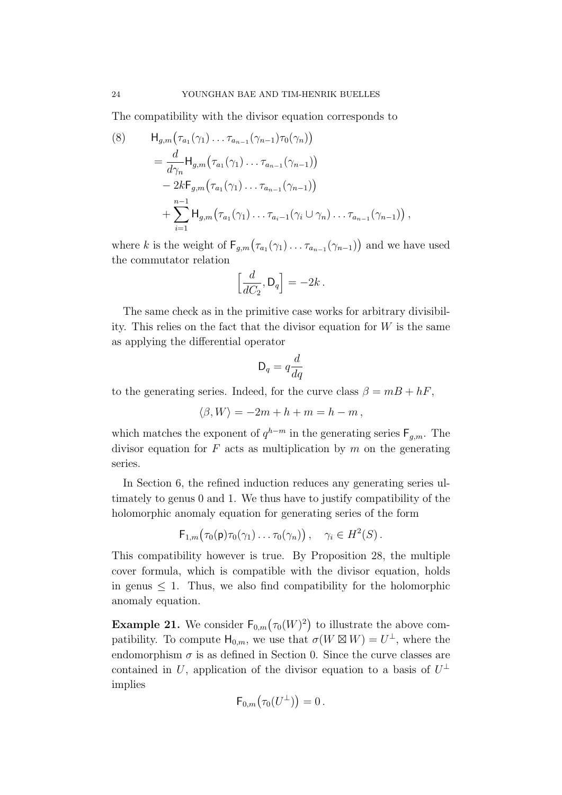The compatibility with the divisor equation corresponds to

<span id="page-23-0"></span>(8) 
$$
H_{g,m}(\tau_{a_1}(\gamma_1) \dots \tau_{a_{n-1}}(\gamma_{n-1})\tau_0(\gamma_n))
$$
  
\n
$$
= \frac{d}{d\gamma_n} H_{g,m}(\tau_{a_1}(\gamma_1) \dots \tau_{a_{n-1}}(\gamma_{n-1}))
$$
  
\n
$$
- 2kF_{g,m}(\tau_{a_1}(\gamma_1) \dots \tau_{a_{n-1}}(\gamma_{n-1}))
$$
  
\n
$$
+ \sum_{i=1}^{n-1} H_{g,m}(\tau_{a_1}(\gamma_1) \dots \tau_{a_i-1}(\gamma_i \cup \gamma_n) \dots \tau_{a_{n-1}}(\gamma_{n-1})),
$$

where k is the weight of  $\mathsf{F}_{g,m}(\tau_{a_1}(\gamma_1)\dots\tau_{a_{n-1}}(\gamma_{n-1}))$  and we have used the commutator relation

$$
\left[\frac{d}{dC_2}, \mathsf{D}_q\right] = -2k.
$$

The same check as in the primitive case works for arbitrary divisibility. This relies on the fact that the divisor equation for  $W$  is the same as applying the differential operator

$$
\mathsf{D}_q = q \frac{d}{dq}
$$

to the generating series. Indeed, for the curve class  $\beta = mB + hF$ ,

$$
\langle \beta, W \rangle = -2m + h + m = h - m,
$$

which matches the exponent of  $q^{h-m}$  in the generating series  $F_{g,m}$ . The divisor equation for  $F$  acts as multiplication by  $m$  on the generating series.

In Section [6,](#page-40-0) the refined induction reduces any generating series ultimately to genus 0 and 1. We thus have to justify compatibility of the holomorphic anomaly equation for generating series of the form

$$
\mathsf{F}_{1,m}(\tau_0(\mathsf{p})\tau_0(\gamma_1)\ldots\tau_0(\gamma_n)), \quad \gamma_i \in H^2(S)\,.
$$

This compatibility however is true. By Proposition [28,](#page-33-0) the multiple cover formula, which is compatible with the divisor equation, holds in genus  $\leq 1$ . Thus, we also find compatibility for the holomorphic anomaly equation.

**Example 21.** We consider  $\mathsf{F}_{0,m}(\tau_0(W)^2)$  to illustrate the above compatibility. To compute  $\mathsf{H}_{0,m}$ , we use that  $\sigma(W \boxtimes W) = U^{\perp}$ , where the endomorphism  $\sigma$  is as defined in Section [0.](#page-1-0) Since the curve classes are contained in U, application of the divisor equation to a basis of  $U^{\perp}$ implies

$$
\mathsf{F}_{0,m}\bigl(\tau_0(U^\perp)\bigr)=0\,.
$$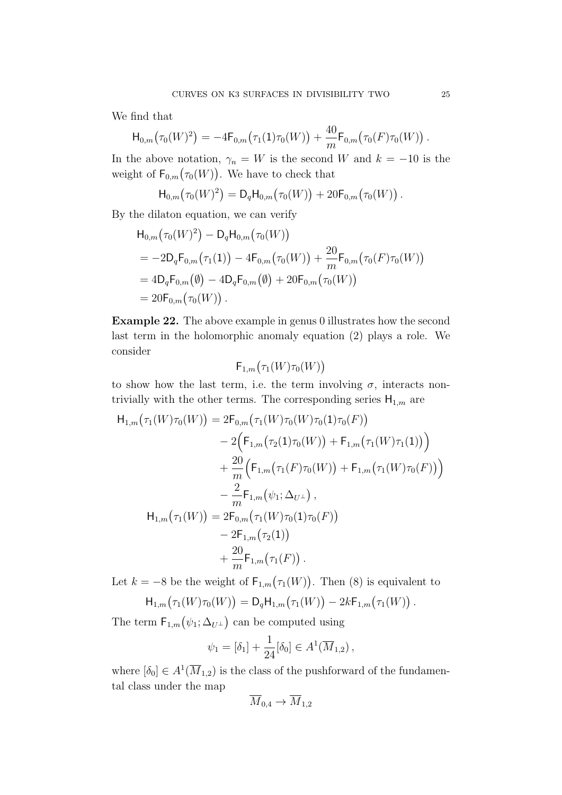We find that

$$
\mathsf{H}_{0,m}(\tau_0(W)^2) = -4\mathsf{F}_{0,m}(\tau_1(1)\tau_0(W)) + \frac{40}{m}\mathsf{F}_{0,m}(\tau_0(F)\tau_0(W)).
$$

In the above notation,  $\gamma_n = W$  is the second W and  $k = -10$  is the weight of  $\mathsf{F}_{0,m}(\tau_0(W))$ . We have to check that

$$
\mathsf{H}_{0,m}(\tau_0(W)^2) = \mathsf{D}_q \mathsf{H}_{0,m}(\tau_0(W)) + 20 \mathsf{F}_{0,m}(\tau_0(W)).
$$

By the dilaton equation, we can verify

$$
H_{0,m}(\tau_0(W)^2) - D_q H_{0,m}(\tau_0(W))
$$
  
= -2D\_qF\_{0,m}(\tau\_1(1)) - 4F\_{0,m}(\tau\_0(W)) + \frac{20}{m}F\_{0,m}(\tau\_0(F)\tau\_0(W))  
= 4D\_qF\_{0,m}(\emptyset) - 4D\_qF\_{0,m}(\emptyset) + 20F\_{0,m}(\tau\_0(W))  
= 20F\_{0,m}(\tau\_0(W)).

<span id="page-24-0"></span>Example 22. The above example in genus 0 illustrates how the second last term in the holomorphic anomaly equation [\(2\)](#page-4-1) plays a role. We consider

$$
\mathsf{F}_{1,m}\bigl(\tau_1(W)\tau_0(W)\bigr)
$$

to show how the last term, i.e. the term involving  $\sigma$ , interacts nontrivially with the other terms. The corresponding series  $H_{1,m}$  are

$$
H_{1,m}(\tau_1(W)\tau_0(W)) = 2F_{0,m}(\tau_1(W)\tau_0(W)\tau_0(1)\tau_0(F))
$$
  
\n
$$
- 2(F_{1,m}(\tau_2(1)\tau_0(W)) + F_{1,m}(\tau_1(W)\tau_1(1)))
$$
  
\n
$$
+ \frac{20}{m}(F_{1,m}(\tau_1(F)\tau_0(W)) + F_{1,m}(\tau_1(W)\tau_0(F)))
$$
  
\n
$$
- \frac{2}{m}F_{1,m}(\psi_1; \Delta_{U^{\perp}}),
$$
  
\n
$$
H_{1,m}(\tau_1(W)) = 2F_{0,m}(\tau_1(W)\tau_0(1)\tau_0(F))
$$
  
\n
$$
- 2F_{1,m}(\tau_2(1))
$$
  
\n
$$
+ \frac{20}{m}F_{1,m}(\tau_1(F)).
$$

Let  $k = -8$  be the weight of  $\mathsf{F}_{1,m}(\tau_1(W))$ . Then [\(8\)](#page-23-0) is equivalent to

$$
H_{1,m}(\tau_1(W)\tau_0(W)) = D_q H_{1,m}(\tau_1(W)) - 2k F_{1,m}(\tau_1(W)).
$$

The term  $F_{1,m}(\psi_1; \Delta_{U^{\perp}})$  can be computed using

$$
\psi_1 = [\delta_1] + \frac{1}{24} [\delta_0] \in A^1(\overline{M}_{1,2}),
$$

where  $[\delta_0] \in A^1(\overline{M}_{1,2})$  is the class of the pushforward of the fundamental class under the map

$$
\overline{M}_{0,4}\to \overline{M}_{1,2}
$$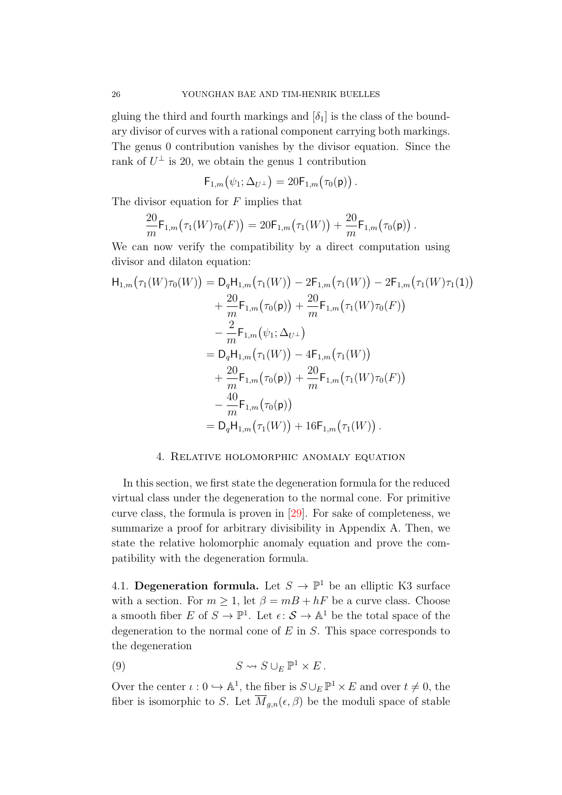gluing the third and fourth markings and  $[\delta_1]$  is the class of the boundary divisor of curves with a rational component carrying both markings. The genus 0 contribution vanishes by the divisor equation. Since the rank of  $U^{\perp}$  is 20, we obtain the genus 1 contribution

$$
\mathsf{F}_{1,m}(\psi_1;\Delta_{U^{\perp}})=20\mathsf{F}_{1,m}(\tau_0(\mathsf{p}))\,.
$$

The divisor equation for  $F$  implies that

$$
\frac{20}{m} \mathsf{F}_{1,m}(\tau_1(W)\tau_0(F)) = 20 \mathsf{F}_{1,m}(\tau_1(W)) + \frac{20}{m} \mathsf{F}_{1,m}(\tau_0(\mathsf{p})).
$$

We can now verify the compatibility by a direct computation using divisor and dilaton equation:

$$
H_{1,m}(\tau_1(W)\tau_0(W)) = D_q H_{1,m}(\tau_1(W)) - 2F_{1,m}(\tau_1(W)) - 2F_{1,m}(\tau_1(W)\tau_1(1))
$$
  
+  $\frac{20}{m}F_{1,m}(\tau_0(\mathbf{p})) + \frac{20}{m}F_{1,m}(\tau_1(W)\tau_0(F))$   
-  $\frac{2}{m}F_{1,m}(\psi_1; \Delta_{U^{\perp}})$   
=  $D_q H_{1,m}(\tau_1(W)) - 4F_{1,m}(\tau_1(W))$   
+  $\frac{20}{m}F_{1,m}(\tau_0(\mathbf{p})) + \frac{20}{m}F_{1,m}(\tau_1(W)\tau_0(F))$   
-  $\frac{40}{m}F_{1,m}(\tau_0(\mathbf{p}))$   
=  $D_q H_{1,m}(\tau_1(W)) + 16F_{1,m}(\tau_1(W)).$ 

## 4. Relative holomorphic anomaly equation

<span id="page-25-0"></span>In this section, we first state the degeneration formula for the reduced virtual class under the degeneration to the normal cone. For primitive curve class, the formula is proven in [\[29\]](#page-47-0). For sake of completeness, we summarize a proof for arbitrary divisibility in Appendix [A.](#page-43-0) Then, we state the relative holomorphic anomaly equation and prove the compatibility with the degeneration formula.

4.1. Degeneration formula. Let  $S \to \mathbb{P}^1$  be an elliptic K3 surface with a section. For  $m > 1$ , let  $\beta = mB + hF$  be a curve class. Choose a smooth fiber  $E$  of  $S \to \mathbb{P}^1$ . Let  $\epsilon: \mathcal{S} \to \mathbb{A}^1$  be the total space of the degeneration to the normal cone of  $E$  in  $S$ . This space corresponds to the degeneration

<span id="page-25-1"></span>(9) 
$$
S \rightsquigarrow S \cup_E \mathbb{P}^1 \times E.
$$

Over the center  $\iota: 0 \hookrightarrow \mathbb{A}^1$ , the fiber is  $S \cup_E \mathbb{P}^1 \times E$  and over  $t \neq 0$ , the fiber is isomorphic to S. Let  $\overline{M}_{g,n}(\epsilon,\beta)$  be the moduli space of stable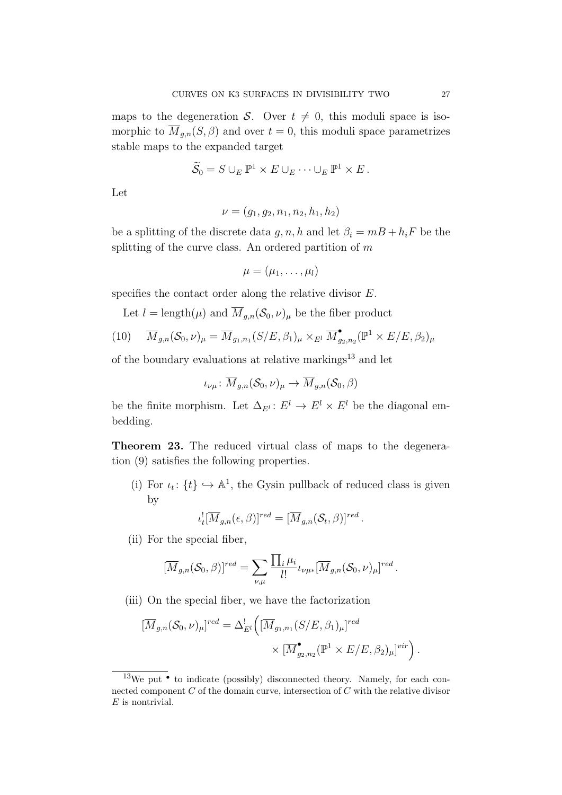maps to the degeneration S. Over  $t \neq 0$ , this moduli space is isomorphic to  $\overline{M}_{g,n}(S,\beta)$  and over  $t=0$ , this moduli space parametrizes stable maps to the expanded target

$$
\widetilde{S}_0 = S \cup_E \mathbb{P}^1 \times E \cup_E \cdots \cup_E \mathbb{P}^1 \times E.
$$

Let

$$
\nu = (g_1, g_2, n_1, n_2, h_1, h_2)
$$

be a splitting of the discrete data g, n, h and let  $\beta_i = m + h_i$  be the splitting of the curve class. An ordered partition of  $m$ 

$$
\mu=(\mu_1,\ldots,\mu_l)
$$

specifies the contact order along the relative divisor E.

Let  $l = \text{length}(\mu)$  and  $\overline{M}_{g,n}(\mathcal{S}_0, \nu)_{\mu}$  be the fiber product

(10) 
$$
\overline{M}_{g,n}(\mathcal{S}_0,\nu)_{\mu} = \overline{M}_{g_1,n_1}(S/E,\beta_1)_{\mu} \times_{E^l} \overline{M}_{g_2,n_2}^{\bullet}(\mathbb{P}^1 \times E/E,\beta_2)_{\mu}
$$

of the boundary evaluations at relative markings $^{13}$  $^{13}$  $^{13}$  and let

$$
\iota_{\nu\mu}\colon \overline{M}_{g,n}(\mathcal{S}_0,\nu)_{\mu}\to \overline{M}_{g,n}(\mathcal{S}_0,\beta)
$$

be the finite morphism. Let  $\Delta_{E} : E^{l} \to E^{l} \times E^{l}$  be the diagonal embedding.

<span id="page-26-1"></span>Theorem 23. The reduced virtual class of maps to the degeneration [\(9\)](#page-25-1) satisfies the following properties.

(i) For  $\iota_t$ :  $\{t\} \hookrightarrow \mathbb{A}^1$ , the Gysin pullback of reduced class is given by

$$
\iota_t^![\overline{M}_{g,n}(\epsilon,\beta)]^{red}=[\overline{M}_{g,n}(\mathcal{S}_t,\beta)]^{red}.
$$

(ii) For the special fiber,

$$
[\overline{M}_{g,n}(\mathcal{S}_0,\beta)]^{red} = \sum_{\nu,\mu} \frac{\prod_i \mu_i}{l!} \iota_{\nu\mu *} [\overline{M}_{g,n}(\mathcal{S}_0,\nu)_{\mu}]^{red}.
$$

(iii) On the special fiber, we have the factorization

$$
\begin{aligned} [\overline{M}_{g,n}(\mathcal{S}_0,\nu)_\mu]^{red} &= \Delta^!_{E^l} \left( [\overline{M}_{g_1,n_1}(S/E,\beta_1)_\mu]^{red} \right. \\ &\times [\overline{M}^\bullet_{g_2,n_2}(\mathbb{P}^1 \times E/E,\beta_2)_\mu]^{vir} \right). \end{aligned}
$$

<span id="page-26-0"></span><sup>&</sup>lt;sup>13</sup>We put  $\bullet$  to indicate (possibly) disconnected theory. Namely, for each connected component  $C$  of the domain curve, intersection of  $C$  with the relative divisor  $E$  is nontrivial.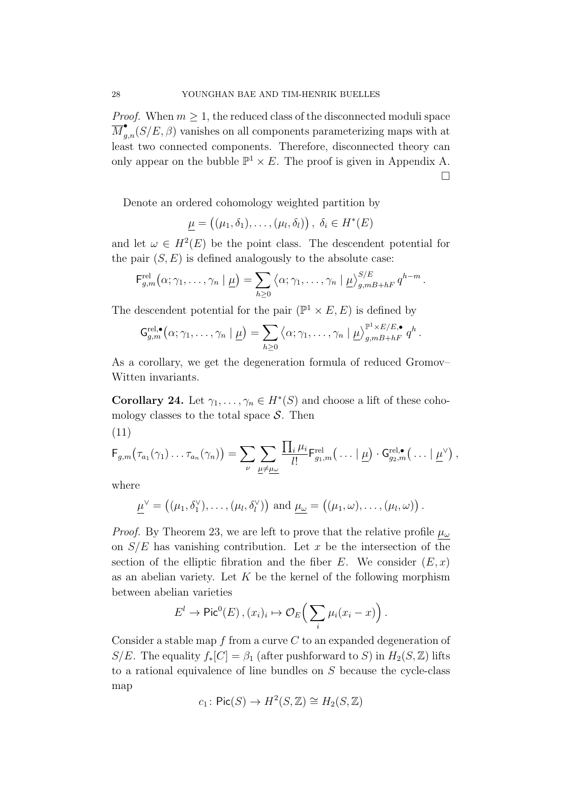*Proof.* When  $m \geq 1$ , the reduced class of the disconnected moduli space  $\overline{M}_{g,n}^{\bullet}(S/E,\beta)$  vanishes on all components parameterizing maps with at least two connected components. Therefore, disconnected theory can only appear on the bubble  $\mathbb{P}^1 \times E$ . The proof is given in Appendix [A.](#page-43-0)  $\Box$ 

Denote an ordered cohomology weighted partition by

$$
\underline{\mu} = ((\mu_1, \delta_1), \dots, (\mu_l, \delta_l)), \ \delta_i \in H^*(E)
$$

and let  $\omega \in H^2(E)$  be the point class. The descendent potential for the pair  $(S, E)$  is defined analogously to the absolute case:

$$
\mathsf{F}_{g,m}^{\text{rel}}(\alpha;\gamma_1,\ldots,\gamma_n\mid\underline{\mu})=\sum_{h\geq 0}\left\langle\alpha;\gamma_1,\ldots,\gamma_n\mid\underline{\mu}\right\rangle_{g,mB+hF}^{S/E}q^{h-m}.
$$

The descendent potential for the pair  $(\mathbb{P}^1 \times E, E)$  is defined by

$$
\mathsf{G}_{g,m}^{\text{rel},\bullet}(\alpha;\gamma_1,\ldots,\gamma_n\mid \underline{\mu})=\sum_{h\geq 0}\left\langle \alpha;\gamma_1,\ldots,\gamma_n\mid \underline{\mu}\right\rangle_{g,mB+hF}^{\mathbb{P}^1\times E/E,\bullet}q^h.
$$

As a corollary, we get the degeneration formula of reduced Gromov– Witten invariants.

<span id="page-27-0"></span>**Corollary 24.** Let  $\gamma_1, \ldots, \gamma_n \in H^*(S)$  and choose a lift of these cohomology classes to the total space  $S$ . Then

$$
(11)
$$

$$
F_{g,m}(\tau_{a_1}(\gamma_1)\dots\tau_{a_n}(\gamma_n))=\sum_{\nu}\sum_{\underline{\mu}\neq\underline{\mu}\underline{\omega}}\frac{\prod_i\mu_i}{l!}F_{g_1,m}^{\text{rel}}(\dots|\underline{\mu})\cdot G_{g_2,m}^{\text{rel},\bullet}(\dots|\underline{\mu}^{\vee}),
$$

where

$$
\underline{\mu}^{\vee} = ((\mu_1, \delta_1^{\vee}), \dots, (\mu_l, \delta_l^{\vee})) \text{ and } \underline{\mu_{\omega}} = ((\mu_1, \omega), \dots, (\mu_l, \omega)).
$$

*Proof.* By Theorem [23,](#page-26-1) we are left to prove that the relative profile  $\mu_{\omega}$ on  $S/E$  has vanishing contribution. Let x be the intersection of the section of the elliptic fibration and the fiber E. We consider  $(E, x)$ as an abelian variety. Let  $K$  be the kernel of the following morphism between abelian varieties

$$
E^l \to \mathrm{Pic}^0(E) , (x_i)_i \mapsto \mathcal{O}_E\Big(\sum_i \mu_i(x_i - x)\Big).
$$

Consider a stable map  $f$  from a curve  $C$  to an expanded degeneration of S/E. The equality  $f_*[C] = \beta_1$  (after pushforward to S) in  $H_2(S, \mathbb{Z})$  lifts to a rational equivalence of line bundles on S because the cycle-class map

$$
c_1\colon \mathsf{Pic}(S)\to H^2(S,\mathbb{Z})\cong H_2(S,\mathbb{Z})
$$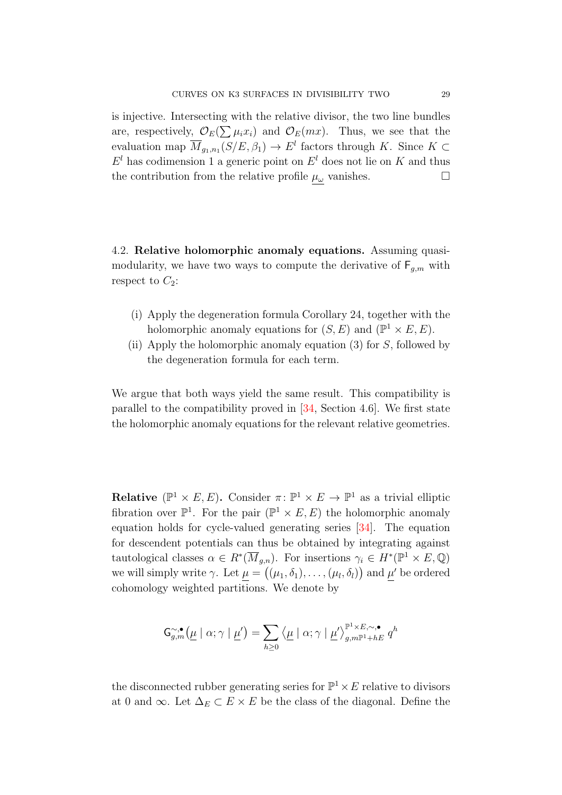is injective. Intersecting with the relative divisor, the two line bundles are, respectively,  $\mathcal{O}_E(\sum \mu_i x_i)$  and  $\mathcal{O}_E(mx)$ . Thus, we see that the evaluation map  $\overline{M}_{g_1,n_1}(S/E,\beta_1) \to E^l$  factors through K. Since  $K \subset$  $E<sup>l</sup>$  has codimension 1 a generic point on  $E<sup>l</sup>$  does not lie on K and thus the contribution from the relative profile  $\mu_{\omega}$  vanishes.

4.2. Relative holomorphic anomaly equations. Assuming quasimodularity, we have two ways to compute the derivative of  $F_{g,m}$  with respect to  $C_2$ :

- (i) Apply the degeneration formula Corollary [24,](#page-27-0) together with the holomorphic anomaly equations for  $(S, E)$  and  $(\mathbb{P}^1 \times E, E)$ .
- (ii) Apply the holomorphic anomaly equation [\(3\)](#page-5-6) for S, followed by the degeneration formula for each term.

We argue that both ways yield the same result. This compatibility is parallel to the compatibility proved in [\[34,](#page-47-2) Section 4.6]. We first state the holomorphic anomaly equations for the relevant relative geometries.

**Relative** ( $\mathbb{P}^1 \times E, E$ ). Consider  $\pi: \mathbb{P}^1 \times E \to \mathbb{P}^1$  as a trivial elliptic fibration over  $\mathbb{P}^1$ . For the pair  $(\mathbb{P}^1 \times E, E)$  the holomorphic anomaly equation holds for cycle-valued generating series [\[34\]](#page-47-2). The equation for descendent potentials can thus be obtained by integrating against tautological classes  $\alpha \in R^*(\overline{M}_{g,n})$ . For insertions  $\gamma_i \in H^*(\mathbb{P}^1 \times E, \mathbb{Q})$ we will simply write  $\gamma$ . Let  $\mu = ((\mu_1, \delta_1), \ldots, (\mu_l, \delta_l))$  and  $\mu'$  be ordered cohomology weighted partitions. We denote by

$$
\mathsf{G}_{g,m}^{\sim,\bullet}\bigl(\underline{\mu}\mid\alpha;\gamma\mid\underline{\mu}'\bigr)=\sum_{h\geq 0}\bigl\langle\underline{\mu}\mid\alpha;\gamma\mid\underline{\mu}'\bigr\rangle_{g,m\mathbb{P}^1+hE}^{\mathbb{P}^1\times E,\sim,\bullet}q^h
$$

the disconnected rubber generating series for  $\mathbb{P}^1 \times E$  relative to divisors at 0 and  $\infty$ . Let  $\Delta_E \subset E \times E$  be the class of the diagonal. Define the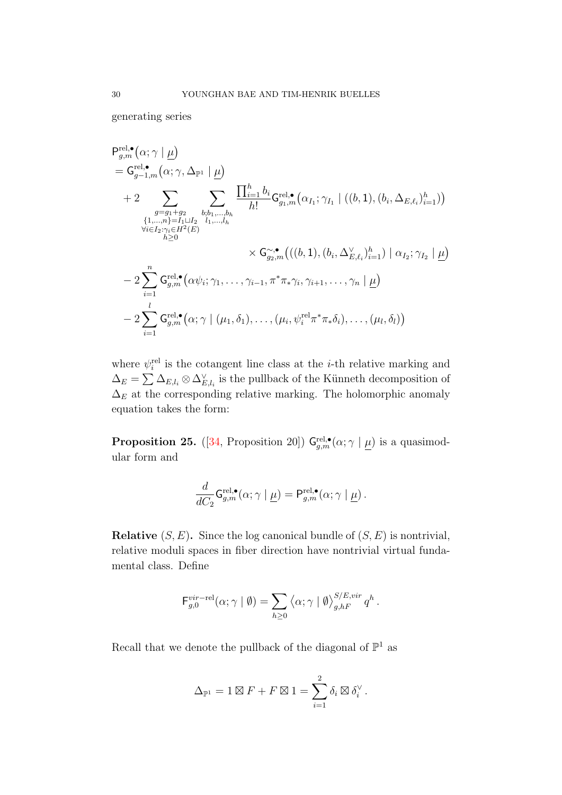generating series

$$
\begin{split}\n&\mathsf{P}_{g,m}^{\text{rel},\bullet}(\alpha;\gamma \mid \underline{\mu}) \\
&= \mathsf{G}_{g-1,m}^{\text{rel},\bullet}(\alpha;\gamma,\Delta_{\mathbb{P}^1} \mid \underline{\mu}) \\
&+ 2 \sum_{\substack{g=g_1+g_2\\ \forall i,j,\ldots,h}} \sum_{\substack{b;b_1,\ldots,b_h\\ \forall i \in I_2:\gamma_i \in H^2(E)}} \frac{\prod_{i=1}^h b_i}{h!} \mathsf{G}_{g_1,m}^{\text{rel},\bullet}(\alpha_{I_1};\gamma_{I_1} \mid ((b,1),(b_i,\Delta_{E,\ell_i})_{i=1}^h)) \\
&\quad \{1,\ldots,h\} = I_1 \sqcup I_2} \\
&\quad \times \mathsf{G}_{g_2,m}^{\sim,\bullet}(( (b,1),(b_i,\Delta_{E,\ell_i}^{\vee})_{i=1}^h) \mid \alpha_{I_2};\gamma_{I_2} \mid \underline{\mu}) \\
&- 2 \sum_{i=1}^n \mathsf{G}_{g,m}^{\text{rel},\bullet}(\alpha \psi_i;\gamma_1,\ldots,\gamma_{i-1},\pi^* \pi_* \gamma_i,\gamma_{i+1},\ldots,\gamma_n \mid \underline{\mu}) \\
&- 2 \sum_{i=1}^l \mathsf{G}_{g,m}^{\text{rel},\bullet}(\alpha;\gamma \mid (\mu_1,\delta_1),\ldots,(\mu_i,\psi_i^{\text{rel}} \pi^* \pi_* \delta_i),\ldots,(\mu_l,\delta_l))\n\end{split}
$$

where  $\psi_i^{\text{rel}}$  is the cotangent line class at the *i*-th relative marking and  $\Delta_E = \sum \Delta_{E,l_i} \otimes \Delta_{E,l_i}^{\vee}$  is the pullback of the Künneth decomposition of  $\Delta_E$  at the corresponding relative marking. The holomorphic anomaly equation takes the form:

**Proposition 25.** ([\[34,](#page-47-2) Proposition 20])  $G_{g,m}^{\text{rel},\bullet}(\alpha;\gamma | \underline{\mu})$  is a quasimodular form and

$$
\frac{d}{dC_2} \mathsf{G}^{\textup{rel},\bullet}_{g,m}(\alpha;\gamma \mid \underline{\mu}) = \mathsf{P}^{\textup{rel},\bullet}_{g,m}(\alpha;\gamma \mid \underline{\mu}).
$$

**Relative**  $(S, E)$ . Since the log canonical bundle of  $(S, E)$  is nontrivial, relative moduli spaces in fiber direction have nontrivial virtual fundamental class. Define

$$
\mathsf{F}_{g,0}^{\text{vir-rel}}(\alpha;\gamma \mid \emptyset) = \sum_{h\geq 0} \langle \alpha;\gamma \mid \emptyset \rangle_{g,hF}^{S/E,\text{vir}} q^h.
$$

Recall that we denote the pullback of the diagonal of  $\mathbb{P}^1$  as

$$
\Delta_{\mathbb{P}^1} = 1 \boxtimes F + F \boxtimes 1 = \sum_{i=1}^2 \delta_i \boxtimes \delta_i^{\vee}.
$$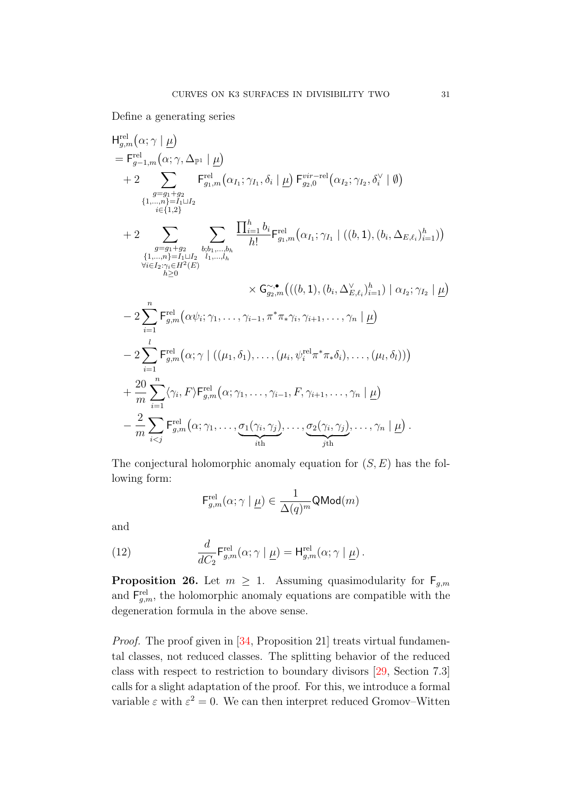Define a generating series

H<sub>g,m</sub><sup>rel</sup>(
$$
\alpha; \gamma | \underline{\mu}
$$
)  
\n
$$
= F_{g-1,m}^{rel}(\alpha; \gamma, \Delta_{\mathbb{P}^1} | \underline{\mu})
$$
\n+2  $\sum_{\substack{g=g_1+g_2 \\ i\in\{1,2\} }} F_{g_1,m}^{rel}(\alpha_{I_1}; \gamma_{I_1}, \delta_i | \underline{\mu}) F_{g_2,0}^{vir-rel}(\alpha_{I_2}; \gamma_{I_2}, \delta_i^{\vee} | \emptyset)$   
\n
$$
+ 2 \sum_{\substack{g=g_1+g_2 \\ i\in\{1,2\} }} \sum_{\substack{b,b_1,\dots,b_h \\ b_1,\dots,b_h \\ b_2\in\{2,\gamma_i\in H^2(E)}} \frac{\prod_{i=1}^h b_i}{h!} F_{g_1,m}^{rel}(\alpha_{I_1}; \gamma_{I_1} | ((b,1), (b_i, \Delta_{E,\ell_i})_{i=1}^h))
$$
  
\n
$$
\forall i \in I_2: \gamma_i \in H^2(E)
$$
\n
$$
\times G_{g_2,m}^{sim}(((b,1), (b_i, \Delta_{E,\ell_i}^{\vee})_{i=1}^h) | \alpha_{I_2}; \gamma_{I_2} | \underline{\mu})
$$
\n-2  $\sum_{i=1}^n F_{g,m}^{rel}(\alpha \psi_i; \gamma_1, \dots, \gamma_{i-1}, \pi^* \pi_i \gamma_i, \gamma_{i+1}, \dots, \gamma_n | \underline{\mu})$   
\n
$$
- 2 \sum_{i=1}^l F_{g,m}^{rel}(\alpha; \gamma | ((\mu_1, \delta_1), \dots, (\mu_i, \psi_i^{\text{rel}} \pi^* \pi_* \delta_i), \dots, (\mu_l, \delta_l)))
$$
  
\n+  $\frac{20}{m} \sum_{i=1}^n \langle \gamma_i, F \rangle F_{g,m}^{rel}(\alpha; \gamma_1, \dots, \gamma_{i-1}, F, \gamma_{i+1}, \dots, \gamma_n | \underline{\mu})$   
\n-  $\frac{2}{m} \sum_{i \le j} F_{g,m}^{rel}(\alpha; \gamma_1, \dots, \underbrace{\sigma_1(\gamma_i, \gamma_j)}_{i\text{th}}, \dots, \underbrace{\sigma_2(\gamma_i, \gamma_j)}_{j\text$ 

The conjectural holomorphic anomaly equation for  $(S, E)$  has the following form:

$$
\mathsf{F}^{\mathrm{rel}}_{g,m}(\alpha;\gamma\mid\underline{\mu})\in\frac{1}{\Delta(q)^m}\mathsf{QMod}(m)
$$

and

(12) 
$$
\frac{d}{dC_2} \mathsf{F}_{g,m}^{\text{rel}}(\alpha; \gamma \mid \underline{\mu}) = \mathsf{H}_{g,m}^{\text{rel}}(\alpha; \gamma \mid \underline{\mu}).
$$

<span id="page-30-0"></span>**Proposition 26.** Let  $m \geq 1$ . Assuming quasimodularity for  $F_{g,m}$ and  $\mathsf{F}_{g,m}^{\text{rel}}$ , the holomorphic anomaly equations are compatible with the degeneration formula in the above sense.

Proof. The proof given in [\[34,](#page-47-2) Proposition 21] treats virtual fundamental classes, not reduced classes. The splitting behavior of the reduced class with respect to restriction to boundary divisors [\[29,](#page-47-0) Section 7.3] calls for a slight adaptation of the proof. For this, we introduce a formal variable  $\varepsilon$  with  $\varepsilon^2 = 0$ . We can then interpret reduced Gromov–Witten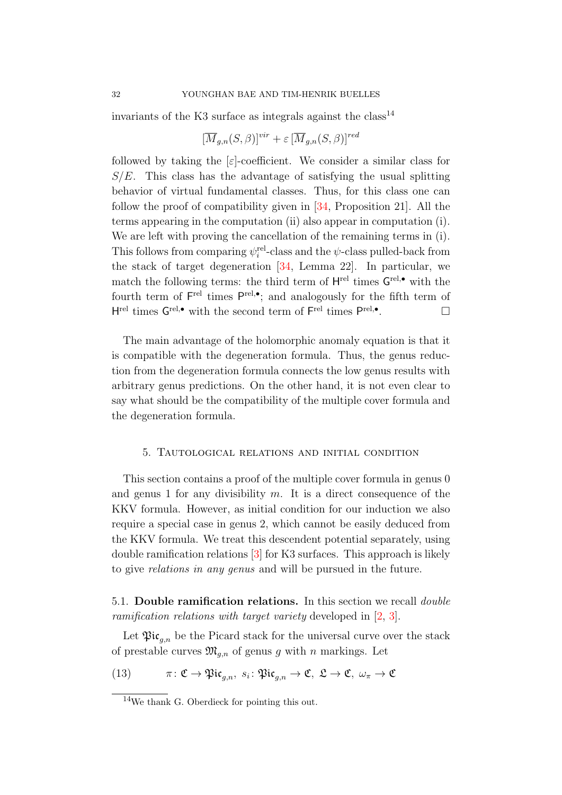invariants of the K3 surface as integrals against the  $class^{14}$  $class^{14}$  $class^{14}$ 

$$
[\overline{M}_{g,n}(S,\beta)]^{vir} + \varepsilon \, [\overline{M}_{g,n}(S,\beta)]^{red}
$$

followed by taking the  $\epsilon$ -coefficient. We consider a similar class for  $S/E$ . This class has the advantage of satisfying the usual splitting behavior of virtual fundamental classes. Thus, for this class one can follow the proof of compatibility given in [\[34,](#page-47-2) Proposition 21]. All the terms appearing in the computation (ii) also appear in computation (i). We are left with proving the cancellation of the remaining terms in (i). This follows from comparing  $\psi_i^{\text{rel}}$ -class and the  $\psi$ -class pulled-back from the stack of target degeneration [\[34,](#page-47-2) Lemma 22]. In particular, we match the following terms: the third term of  $H^{\text{rel}}$  times  $G^{\text{rel},\bullet}$  with the fourth term of  $\mathsf{F}^{\text{rel}}$  times  $\mathsf{P}^{\text{rel},\bullet}$ ; and analogously for the fifth term of H<sup>rel</sup> times  $G^{\text{rel},\bullet}$  with the second term of  $F^{\text{rel}}$  times  $P^{\text{rel},\bullet}$ .

The main advantage of the holomorphic anomaly equation is that it is compatible with the degeneration formula. Thus, the genus reduction from the degeneration formula connects the low genus results with arbitrary genus predictions. On the other hand, it is not even clear to say what should be the compatibility of the multiple cover formula and the degeneration formula.

### <span id="page-31-0"></span>5. Tautological relations and initial condition

This section contains a proof of the multiple cover formula in genus 0 and genus 1 for any divisibility  $m$ . It is a direct consequence of the KKV formula. However, as initial condition for our induction we also require a special case in genus 2, which cannot be easily deduced from the KKV formula. We treat this descendent potential separately, using double ramification relations [\[3\]](#page-45-4) for K3 surfaces. This approach is likely to give relations in any genus and will be pursued in the future.

<span id="page-31-3"></span>5.1. Double ramification relations. In this section we recall double ramification relations with target variety developed in [\[2,](#page-45-5) [3\]](#page-45-4).

Let  $\mathfrak{Pic}_{a,n}$  be the Picard stack for the universal curve over the stack of prestable curves  $\mathfrak{M}_{q,n}$  of genus g with n markings. Let

<span id="page-31-2"></span>(13)  $\pi: \mathfrak{C} \to \mathfrak{Pic}_{g,n}, s_i: \mathfrak{Pic}_{g,n} \to \mathfrak{C}, \mathfrak{L} \to \mathfrak{C}, \omega_{\pi} \to \mathfrak{C}$ 

<span id="page-31-1"></span><sup>14</sup>We thank G. Oberdieck for pointing this out.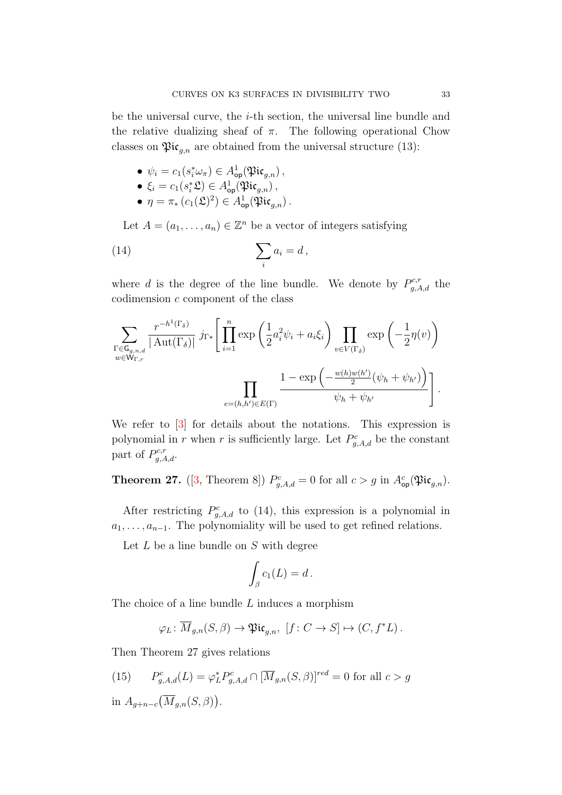be the universal curve, the i-th section, the universal line bundle and the relative dualizing sheaf of  $\pi$ . The following operational Chow classes on  $\mathfrak{Pic}_{q,n}$  are obtained from the universal structure [\(13\)](#page-31-2):

• 
$$
\psi_i = c_1(s_i^* \omega_\pi) \in A^1_{op}(\mathfrak{Pic}_{g,n}),
$$

- $\xi_i = c_1(s_i^* \mathfrak{L}) \in A^1_{\mathsf{op}}(\mathfrak{Pic}_{g,n})$ ,
- <span id="page-32-0"></span>•  $\eta = \pi_* (c_1(\mathfrak{L})^2) \in A^1_{\text{op}}(\mathfrak{Pic}_{g,n})$ .

Let  $A = (a_1, \ldots, a_n) \in \mathbb{Z}^n$  be a vector of integers satisfying

(14) 
$$
\sum_{i} a_i = d,
$$

where d is the degree of the line bundle. We denote by  $P_{g,A,d}^{c,r}$  the codimension c component of the class

$$
\sum_{\substack{\Gamma \in \mathsf{G}_{g,n,d} \\ w \in \mathsf{W}_{\Gamma,r}}} \frac{r^{-h^1(\Gamma_{\delta})}}{|\operatorname{Aut}(\Gamma_{\delta})|} j_{\Gamma*} \left[ \prod_{i=1}^n \exp\left(\frac{1}{2} a_i^2 \psi_i + a_i \xi_i\right) \prod_{v \in V(\Gamma_{\delta})} \exp\left(-\frac{1}{2} \eta(v)\right) \right] \prod_{e=(h,h') \in E(\Gamma)} \frac{1 - \exp\left(-\frac{w(h)w(h')}{2} (\psi_h + \psi_{h'})\right)}{\psi_h + \psi_{h'}} \right].
$$

We refer to  $\begin{bmatrix} 3 \end{bmatrix}$  for details about the notations. This expression is polynomial in r when r is sufficiently large. Let  $P_{g,A,d}^c$  be the constant part of  $P_{g,A,d}^{c,r}$ .

<span id="page-32-1"></span>**Theorem 27.** ([\[3,](#page-45-4) Theorem 8])  $P_{g,A,d}^c = 0$  for all  $c > g$  in  $A_{\text{op}}^c(\mathfrak{Pic}_{g,n})$ .

After restricting  $P_{g,A,d}^{c}$  to [\(14\)](#page-32-0), this expression is a polynomial in  $a_1, \ldots, a_{n-1}$ . The polynomiality will be used to get refined relations.

Let  $L$  be a line bundle on  $S$  with degree

$$
\int_{\beta} c_1(L) = d.
$$

The choice of a line bundle L induces a morphism

$$
\varphi_L \colon \overline{M}_{g,n}(S,\beta) \to \mathfrak{Pic}_{g,n}, \ [f \colon C \to S] \mapsto (C, f^*L).
$$

Then Theorem [27](#page-32-1) gives relations

<span id="page-32-2"></span>(15) 
$$
P_{g,A,d}^c(L) = \varphi_L^* P_{g,A,d}^c \cap [\overline{M}_{g,n}(S,\beta)]^{red} = 0 \text{ for all } c > g
$$
  
in  $A_{g+n-c}(\overline{M}_{g,n}(S,\beta)).$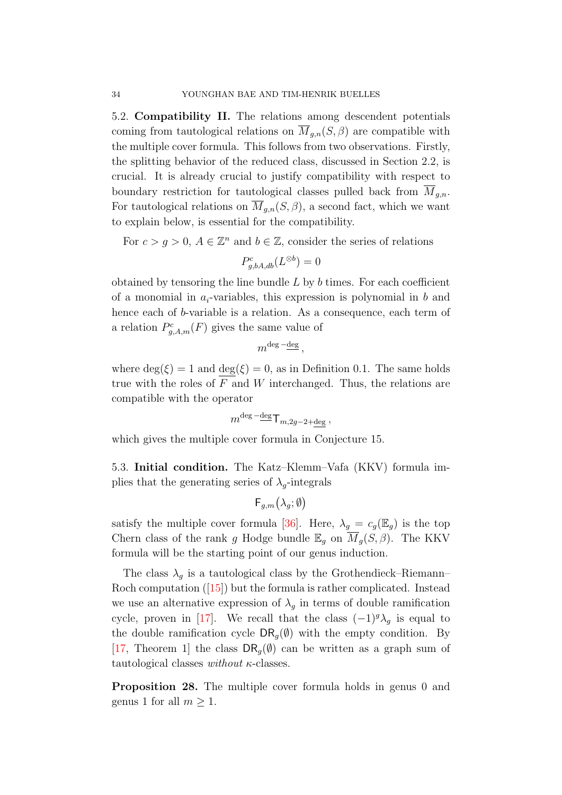5.2. Compatibility II. The relations among descendent potentials coming from tautological relations on  $\overline{M}_{g,n}(S,\beta)$  are compatible with the multiple cover formula. This follows from two observations. Firstly, the splitting behavior of the reduced class, discussed in Section [2.2,](#page-16-0) is crucial. It is already crucial to justify compatibility with respect to boundary restriction for tautological classes pulled back from  $M_{g,n}$ . For tautological relations on  $\overline{M}_{g,n}(S,\beta)$ , a second fact, which we want to explain below, is essential for the compatibility.

For  $c > g > 0$ ,  $A \in \mathbb{Z}^n$  and  $b \in \mathbb{Z}$ , consider the series of relations

$$
P_{g,bA,db}^{c}(L^{\otimes b}) = 0
$$

obtained by tensoring the line bundle  $L$  by  $b$  times. For each coefficient of a monomial in  $a_i$ -variables, this expression is polynomial in b and hence each of b-variable is a relation. As a consequence, each term of a relation  $P_{g,A,m}^{c}(F)$  gives the same value of

$$
m^{\text{deg}\,-\underline{\text{deg}}}\,,
$$

where  $\deg(\xi) = 1$  and  $\deg(\xi) = 0$ , as in Definition [0.1.](#page-1-3) The same holds true with the roles of  $F$  and  $W$  interchanged. Thus, the relations are compatible with the operator

$$
m^{\deg - \deg} \mathsf{T}_{m,2g-2+\deg},
$$

which gives the multiple cover formula in Conjecture [15.](#page-17-0)

5.3. Initial condition. The Katz–Klemm–Vafa (KKV) formula implies that the generating series of  $\lambda_q$ -integrals

$$
\mathsf{F}_{g,m}\big(\lambda_g;\emptyset\big)
$$

satisfy the multiple cover formula [\[36\]](#page-47-8). Here,  $\lambda_g = c_g(\mathbb{E}_g)$  is the top Chern class of the rank g Hodge bundle  $\mathbb{E}_q$  on  $\overline{M}_q(S,\beta)$ . The KKV formula will be the starting point of our genus induction.

The class  $\lambda_g$  is a tautological class by the Grothendieck–Riemann– Rochcomputation ([\[15\]](#page-46-13)) but the formula is rather complicated. Instead we use an alternative expression of  $\lambda_q$  in terms of double ramification cycle, proven in [\[17\]](#page-46-14). We recall that the class  $(-1)^{g} \lambda_{g}$  is equal to the double ramification cycle  $DR_q(\emptyset)$  with the empty condition. By [\[17,](#page-46-14) Theorem 1] the class  $DR<sub>q</sub>(\emptyset)$  can be written as a graph sum of tautological classes without  $\kappa$ -classes.

<span id="page-33-0"></span>Proposition 28. The multiple cover formula holds in genus 0 and genus 1 for all  $m > 1$ .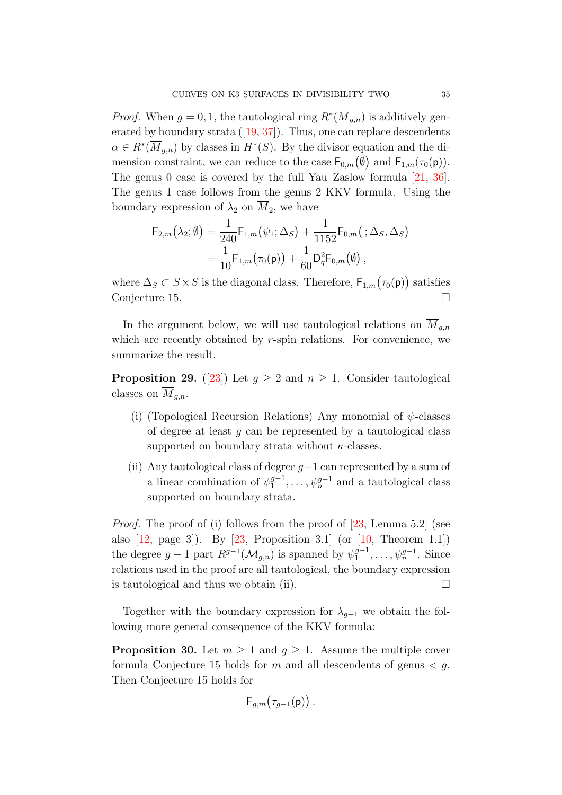*Proof.* When  $g = 0, 1$ , the tautological ring  $R^*(\overline{M}_{g,n})$  is additively generatedby boundary strata  $([19, 37])$  $([19, 37])$  $([19, 37])$  $([19, 37])$  $([19, 37])$ . Thus, one can replace descendents  $\alpha \in R^*(\overline{M}_{g,n})$  by classes in  $H^*(S)$ . By the divisor equation and the dimension constraint, we can reduce to the case  $\mathsf{F}_{0,m}(\emptyset)$  and  $\mathsf{F}_{1,m}(\tau_0(\mathsf{p}))$ . The genus 0 case is covered by the full Yau–Zaslow formula [\[21,](#page-46-16) [36\]](#page-47-8). The genus 1 case follows from the genus 2 KKV formula. Using the boundary expression of  $\lambda_2$  on  $M_2$ , we have

$$
F_{2,m}(\lambda_2; \emptyset) = \frac{1}{240} F_{1,m}(\psi_1; \Delta_S) + \frac{1}{1152} F_{0,m}(\cdot; \Delta_S, \Delta_S)
$$
  
= 
$$
\frac{1}{10} F_{1,m}(\tau_0(\mathsf{p})) + \frac{1}{60} D_q^2 F_{0,m}(\emptyset),
$$

where  $\Delta_S \subset S \times S$  is the diagonal class. Therefore,  $\mathsf{F}_{1,m}(\tau_0(\mathsf{p}))$  satisfies Conjecture [15.](#page-17-0)

In the argument below, we will use tautological relations on  $\overline{M}_{g,n}$ which are recently obtained by  $r$ -spin relations. For convenience, we summarize the result.

<span id="page-34-0"></span>**Proposition 29.** ([\[23\]](#page-46-12)) Let  $g \geq 2$  and  $n \geq 1$ . Consider tautological classes on  $\overline{M}_{q,n}$ .

- (i) (Topological Recursion Relations) Any monomial of  $\psi$ -classes of degree at least q can be represented by a tautological class supported on boundary strata without  $\kappa$ -classes.
- (ii) Any tautological class of degree  $g-1$  can represented by a sum of a linear combination of  $\psi_1^{g-1}$  $\psi_1^{g-1}, \ldots, \psi_n^{g-1}$  and a tautological class supported on boundary strata.

*Proof.* The proof of (i) follows from the proof of [\[23,](#page-46-12) Lemma 5.2] (see also  $[12, \text{ page } 3]$ . By  $[23, \text{ Proposition } 3.1]$  (or  $[10, \text{ Theorem } 1.1]$ ) the degree  $g-1$  part  $R^{g-1}(\mathcal{M}_{g,n})$  is spanned by  $\psi_1^{g-1}$  $y_1^{g-1}, \ldots, \psi_n^{g-1}$ . Since relations used in the proof are all tautological, the boundary expression is tautological and thus we obtain (ii).  $\Box$ 

Together with the boundary expression for  $\lambda_{q+1}$  we obtain the following more general consequence of the KKV formula:

<span id="page-34-1"></span>**Proposition 30.** Let  $m \geq 1$  and  $g \geq 1$ . Assume the multiple cover formula Conjecture [15](#page-17-0) holds for m and all descendents of genus  $\lt g$ . Then Conjecture [15](#page-17-0) holds for

$$
\mathsf{F}_{g,m}(\tau_{g-1}(\mathsf{p}))\,.
$$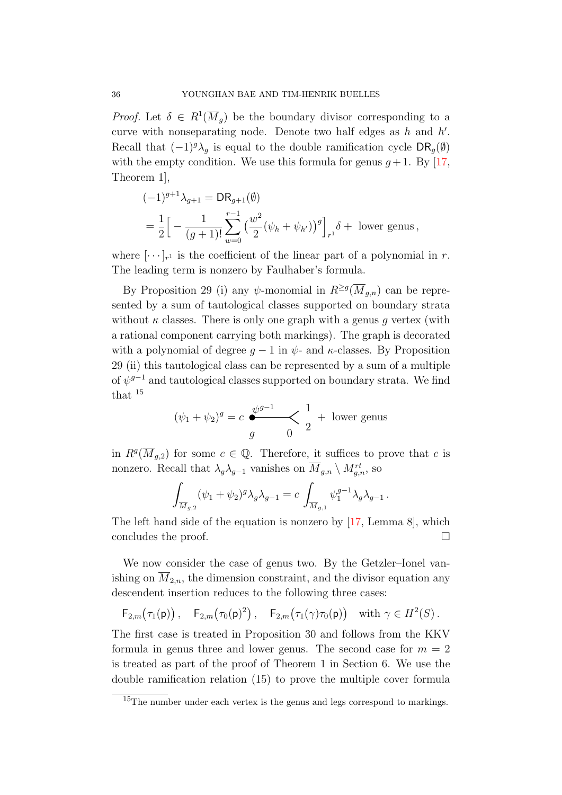*Proof.* Let  $\delta \in R^1(\overline{M}_g)$  be the boundary divisor corresponding to a curve with nonseparating node. Denote two half edges as  $h$  and  $h'$ . Recall that  $(-1)^{g} \lambda_g$  is equal to the double ramification cycle  $\text{DR}_g(\emptyset)$ with the empty condition. We use this formula for genus  $q+1$ . By [\[17,](#page-46-14) Theorem 1],

$$
\begin{aligned} &(-1)^{g+1}\lambda_{g+1} = \mathsf{DR}_{g+1}(\emptyset) \\ &= \frac{1}{2}\Big[-\frac{1}{(g+1)!}\sum_{w=0}^{r-1} \big(\frac{w^2}{2}(\psi_h + \psi_{h'})\big)^g\Big]_{r^1} \delta + \text{ lower genus}\,, \end{aligned}
$$

where  $[\cdots]_{r^1}$  is the coefficient of the linear part of a polynomial in r. The leading term is nonzero by Faulhaber's formula.

By Proposition [29](#page-34-0) (i) any  $\psi$ -monomial in  $R^{\geq g}(\overline{M}_{g,n})$  can be represented by a sum of tautological classes supported on boundary strata without  $\kappa$  classes. There is only one graph with a genus q vertex (with a rational component carrying both markings). The graph is decorated with a polynomial of degree  $q-1$  in  $\psi$ - and  $\kappa$ -classes. By Proposition [29](#page-34-0) (ii) this tautological class can be represented by a sum of a multiple of  $\psi^{g-1}$  and tautological classes supported on boundary strata. We find that [15](#page-35-0)

$$
(\psi_1 + \psi_2)^g = c \underbrace{\psi^{g-1}}_{g} \times \frac{1}{2} + \text{ lower genus}
$$

in  $R^g(\overline{M}_{g,2})$  for some  $c \in \mathbb{Q}$ . Therefore, it suffices to prove that c is nonzero. Recall that  $\lambda_g \lambda_{g-1}$  vanishes on  $\overline{M}_{g,n} \setminus M_{g,n}^{rt}$ , so

$$
\int_{\overline{M}_{g,2}} (\psi_1 + \psi_2)^g \lambda_g \lambda_{g-1} = c \int_{\overline{M}_{g,1}} \psi_1^{g-1} \lambda_g \lambda_{g-1}.
$$

The left hand side of the equation is nonzero by [\[17,](#page-46-14) Lemma 8], which concludes the proof.

We now consider the case of genus two. By the Getzler–Ionel vanishing on  $M_{2,n}$ , the dimension constraint, and the divisor equation any descendent insertion reduces to the following three cases:

$$
\mathsf{F}_{2,m}(\tau_1(\mathsf{p}))\,,\quad \mathsf{F}_{2,m}(\tau_0(\mathsf{p})^2)\,,\quad \mathsf{F}_{2,m}(\tau_1(\gamma)\tau_0(\mathsf{p}))\quad\text{with } \gamma\in H^2(S)\,.
$$

The first case is treated in Proposition [30](#page-34-1) and follows from the KKV formula in genus three and lower genus. The second case for  $m = 2$ is treated as part of the proof of Theorem [1](#page-2-0) in Section [6.](#page-40-0) We use the double ramification relation [\(15\)](#page-32-2) to prove the multiple cover formula

<span id="page-35-0"></span><sup>&</sup>lt;sup>15</sup>The number under each vertex is the genus and legs correspond to markings.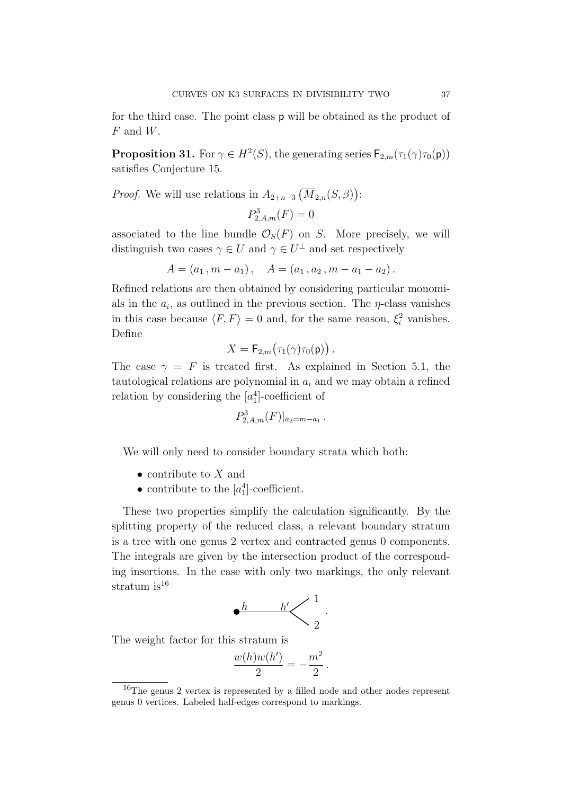for the third case. The point class p will be obtained as the product of  $F$  and  $W$ .

<span id="page-36-1"></span>**Proposition 31.** For  $\gamma \in H^2(S)$ , the generating series  $\mathsf{F}_{2,m}(\tau_1(\gamma)\tau_0(\mathsf{p}))$ satisfies Conjecture [15.](#page-17-0)

*Proof.* We will use relations in  $A_{2+n-3}(\overline{M}_{2,n}(S,\beta))$ :

$$
P_{2,A,m}^3(F) = 0
$$

associated to the line bundle  $\mathcal{O}_S(F)$  on S. More precisely, we will distinguish two cases  $\gamma \in U$  and  $\gamma \in U^{\perp}$  and set respectively

$$
A = (a_1, m - a_1), \quad A = (a_1, a_2, m - a_1 - a_2).
$$

Refined relations are then obtained by considering particular monomials in the  $a_i$ , as outlined in the previous section. The  $\eta$ -class vanishes in this case because  $\langle F, F \rangle = 0$  and, for the same reason,  $\xi_i^2$  vanishes. Define

$$
X = \mathsf{F}_{2,m}(\tau_1(\gamma)\tau_0(\mathsf{p}))\,.
$$

The case  $\gamma = F$  is treated first. As explained in Section [5.1,](#page-31-3) the tautological relations are polynomial in  $a_i$  and we may obtain a refined relation by considering the  $[a_1^4]$ -coefficient of

$$
P_{2,A,m}^3(F)|_{a_2=m-a_1}.
$$

We will only need to consider boundary strata which both:

- contribute to  $X$  and
- contribute to the  $[a_1^4]$ -coefficient.

These two properties simplify the calculation significantly. By the splitting property of the reduced class, a relevant boundary stratum is a tree with one genus 2 vertex and contracted genus 0 components. The integrals are given by the intersection product of the corresponding insertions. In the case with only two markings, the only relevant stratum is $^{16}$  $^{16}$  $^{16}$ 

h h 0 1 2

.

The weight factor for this stratum is

$$
\frac{w(h)w(h')}{2} = -\frac{m^2}{2}.
$$

<span id="page-36-0"></span><sup>16</sup>The genus 2 vertex is represented by a filled node and other nodes represent genus 0 vertices. Labeled half-edges correspond to markings.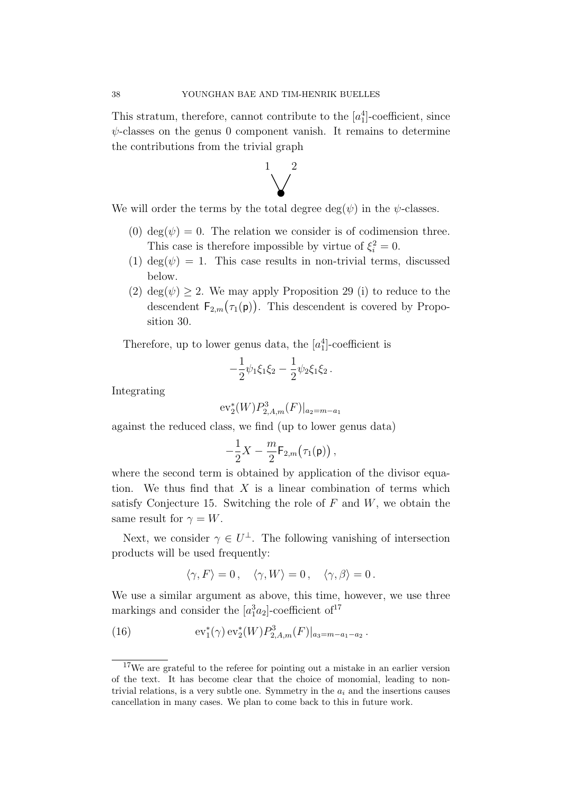This stratum, therefore, cannot contribute to the  $[a_1^4]$ -coefficient, since  $\psi$ -classes on the genus 0 component vanish. It remains to determine the contributions from the trivial graph



We will order the terms by the total degree  $deg(\psi)$  in the  $\psi$ -classes.

- (0) deg( $\psi$ ) = 0. The relation we consider is of codimension three. This case is therefore impossible by virtue of  $\xi_i^2 = 0$ .
- (1) deg( $\psi$ ) = 1. This case results in non-trivial terms, discussed below.
- (2) deg( $\psi$ )  $\geq$  2. We may apply Proposition [29](#page-34-0) (i) to reduce to the descendent  $F_{2,m}(\tau_1(\mathbf{p}))$ . This descendent is covered by Proposition [30.](#page-34-1)

Therefore, up to lower genus data, the  $[a_1^4]$ -coefficient is

$$
-\frac{1}{2}\psi_1\xi_1\xi_2-\frac{1}{2}\psi_2\xi_1\xi_2\,.
$$

Integrating

$$
{\rm ev}_2^*(W)P_{2,A,m}^3(F)|_{a_2=m-a_1}
$$

against the reduced class, we find (up to lower genus data)

$$
-\frac{1}{2}X-\frac{m}{2}\mathsf{F}_{2,m}(\tau_1(\mathsf{p}))\,,
$$

where the second term is obtained by application of the divisor equation. We thus find that  $X$  is a linear combination of terms which satisfy Conjecture [15.](#page-17-0) Switching the role of  $F$  and  $W$ , we obtain the same result for  $\gamma = W$ .

Next, we consider  $\gamma \in U^{\perp}$ . The following vanishing of intersection products will be used frequently:

$$
\langle \gamma, F \rangle = 0 \,, \quad \langle \gamma, W \rangle = 0 \,, \quad \langle \gamma, \beta \rangle = 0 \,.
$$

We use a similar argument as above, this time, however, we use three markings and consider the  $[a_1^3a_2]$ -coefficient of<sup>[17](#page-37-0)</sup>

(16) 
$$
\mathrm{ev}_1^*(\gamma) \, \mathrm{ev}_2^*(W) P_{2,A,m}^3(F)|_{a_3=m-a_1-a_2} \, .
$$

<span id="page-37-0"></span> $17$ We are grateful to the referee for pointing out a mistake in an earlier version of the text. It has become clear that the choice of monomial, leading to nontrivial relations, is a very subtle one. Symmetry in the  $a_i$  and the insertions causes cancellation in many cases. We plan to come back to this in future work.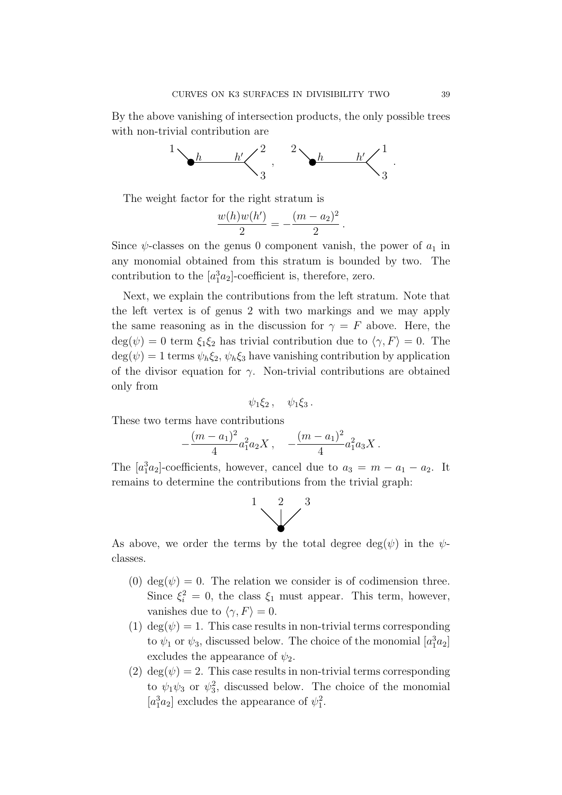By the above vanishing of intersection products, the only possible trees with non-trivial contribution are



The weight factor for the right stratum is

$$
\frac{w(h)w(h')}{2} = -\frac{(m-a_2)^2}{2}.
$$

Since  $\psi$ -classes on the genus 0 component vanish, the power of  $a_1$  in any monomial obtained from this stratum is bounded by two. The contribution to the  $[a_1^3a_2]$ -coefficient is, therefore, zero.

Next, we explain the contributions from the left stratum. Note that the left vertex is of genus 2 with two markings and we may apply the same reasoning as in the discussion for  $\gamma = F$  above. Here, the  $\deg(\psi) = 0$  term  $\xi_1 \xi_2$  has trivial contribution due to  $\langle \gamma, F \rangle = 0$ . The  $\deg(\psi) = 1$  terms  $\psi_h \xi_2$ ,  $\psi_h \xi_3$  have vanishing contribution by application of the divisor equation for  $\gamma$ . Non-trivial contributions are obtained only from

$$
\psi_1 \xi_2\,,\quad \psi_1 \xi_3\,.
$$

These two terms have contributions

$$
-\frac{(m-a_1)^2}{4}a_1^2a_2X\,,\quad -\frac{(m-a_1)^2}{4}a_1^2a_3X\,.
$$

The  $[a_1^3a_2]$ -coefficients, however, cancel due to  $a_3 = m - a_1 - a_2$ . It remains to determine the contributions from the trivial graph:



As above, we order the terms by the total degree  $deg(\psi)$  in the  $\psi$ classes.

- (0) deg( $\psi$ ) = 0. The relation we consider is of codimension three. Since  $\xi_i^2 = 0$ , the class  $\xi_1$  must appear. This term, however, vanishes due to  $\langle \gamma, F \rangle = 0$ .
- (1)  $deg(\psi) = 1$ . This case results in non-trivial terms corresponding to  $\psi_1$  or  $\psi_3$ , discussed below. The choice of the monomial  $[a_1^3a_2]$ excludes the appearance of  $\psi_2$ .
- (2) deg( $\psi$ ) = 2. This case results in non-trivial terms corresponding to  $\psi_1 \psi_3$  or  $\psi_3^2$ , discussed below. The choice of the monomial  $[a_1^3a_2]$  excludes the appearance of  $\psi_1^2$ .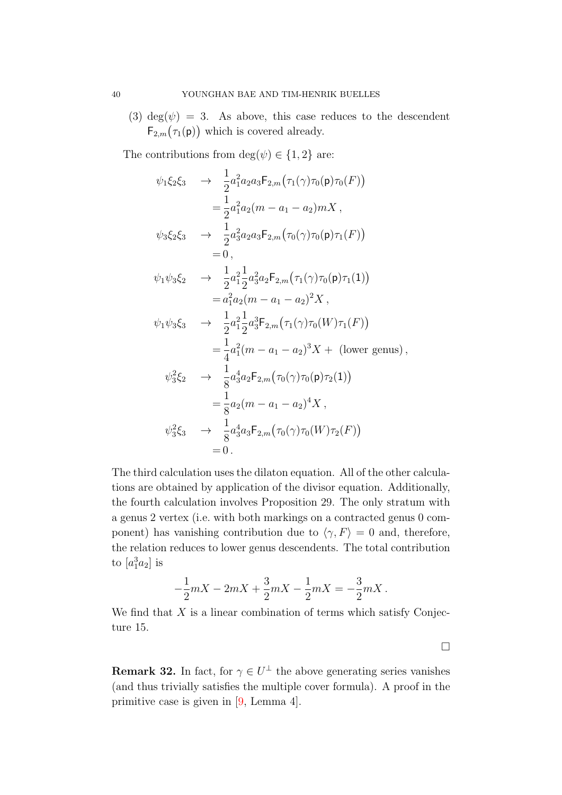(3) deg( $\psi$ ) = 3. As above, this case reduces to the descendent  $F_{2,m}(\tau_1(\mathsf{p}))$  which is covered already.

The contributions from  $\deg(\psi) \in \{1,2\}$  are:

$$
\psi_1 \xi_2 \xi_3 \rightarrow \frac{1}{2} a_1^2 a_2 a_3 F_{2,m}(\tau_1(\gamma) \tau_0(\mathbf{p}) \tau_0(F))
$$
  
\n
$$
= \frac{1}{2} a_1^2 a_2 (m - a_1 - a_2) m X,
$$
  
\n
$$
\psi_3 \xi_2 \xi_3 \rightarrow \frac{1}{2} a_3^2 a_2 a_3 F_{2,m}(\tau_0(\gamma) \tau_0(\mathbf{p}) \tau_1(F))
$$
  
\n
$$
= 0,
$$
  
\n
$$
\psi_1 \psi_3 \xi_2 \rightarrow \frac{1}{2} a_1^2 \frac{1}{2} a_3^2 a_2 F_{2,m}(\tau_1(\gamma) \tau_0(\mathbf{p}) \tau_1(1))
$$
  
\n
$$
= a_1^2 a_2 (m - a_1 - a_2)^2 X,
$$
  
\n
$$
\psi_1 \psi_3 \xi_3 \rightarrow \frac{1}{2} a_1^2 \frac{1}{2} a_3^3 F_{2,m}(\tau_1(\gamma) \tau_0(W) \tau_1(F))
$$
  
\n
$$
= \frac{1}{4} a_1^2 (m - a_1 - a_2)^3 X + \text{(lower genus)},
$$
  
\n
$$
\psi_3^2 \xi_2 \rightarrow \frac{1}{8} a_3^4 a_2 F_{2,m}(\tau_0(\gamma) \tau_0(\mathbf{p}) \tau_2(1))
$$
  
\n
$$
= \frac{1}{8} a_2 (m - a_1 - a_2)^4 X,
$$
  
\n
$$
\psi_3^2 \xi_3 \rightarrow \frac{1}{8} a_3^4 a_3 F_{2,m}(\tau_0(\gamma) \tau_0(W) \tau_2(F))
$$
  
\n
$$
= 0.
$$

The third calculation uses the dilaton equation. All of the other calculations are obtained by application of the divisor equation. Additionally, the fourth calculation involves Proposition [29.](#page-34-0) The only stratum with a genus 2 vertex (i.e. with both markings on a contracted genus 0 component) has vanishing contribution due to  $\langle \gamma, F \rangle = 0$  and, therefore, the relation reduces to lower genus descendents. The total contribution to  $[a_1^3a_2]$  is

$$
-\frac{1}{2}mX - 2mX + \frac{3}{2}mX - \frac{1}{2}mX = -\frac{3}{2}mX.
$$

We find that  $X$  is a linear combination of terms which satisfy Conjecture [15.](#page-17-0)

 $\Box$ 

**Remark 32.** In fact, for  $\gamma \in U^{\perp}$  the above generating series vanishes (and thus trivially satisfies the multiple cover formula). A proof in the primitive case is given in [\[9,](#page-46-10) Lemma 4].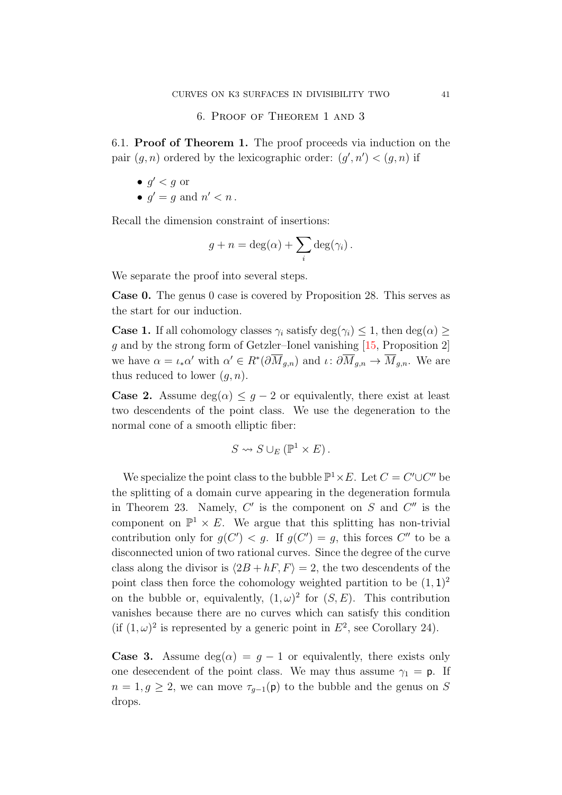6. Proof of Theorem [1](#page-2-0) and [3](#page-5-0)

<span id="page-40-0"></span>6.1. Proof of Theorem [1.](#page-2-0) The proof proceeds via induction on the pair  $(g, n)$  ordered by the lexicographic order:  $(g', n') < (g, n)$  if

$$
\bullet \ g' < g \text{ or }
$$

•  $g' = g$  and  $n' < n$ .

Recall the dimension constraint of insertions:

$$
g + n = \deg(\alpha) + \sum_{i} \deg(\gamma_i).
$$

We separate the proof into several steps.

Case 0. The genus 0 case is covered by Proposition [28.](#page-33-0) This serves as the start for our induction.

**Case 1.** If all cohomology classes  $\gamma_i$  satisfy deg( $\gamma_i$ )  $\leq$  1, then deg( $\alpha$ )  $\geq$ g and by the strong form of Getzler–Ionel vanishing [\[15,](#page-46-13) Proposition 2] we have  $\alpha = \iota_* \alpha'$  with  $\alpha' \in R^* \left( \partial \overline{M}_{g,n} \right)$  and  $\iota: \partial \overline{M}_{g,n} \to \overline{M}_{g,n}$ . We are thus reduced to lower  $(q, n)$ .

**Case 2.** Assume  $deg(\alpha) \leq g - 2$  or equivalently, there exist at least two descendents of the point class. We use the degeneration to the normal cone of a smooth elliptic fiber:

$$
S \rightsquigarrow S \cup_E (\mathbb{P}^1 \times E).
$$

We specialize the point class to the bubble  $\mathbb{P}^1 \times E$ . Let  $C = C' \cup C''$  be the splitting of a domain curve appearing in the degeneration formula in Theorem [23.](#page-26-1) Namely,  $C'$  is the component on  $S$  and  $C''$  is the component on  $\mathbb{P}^1 \times E$ . We argue that this splitting has non-trivial contribution only for  $g(C') < g$ . If  $g(C') = g$ , this forces C'' to be a disconnected union of two rational curves. Since the degree of the curve class along the divisor is  $\langle 2B + hF, F \rangle = 2$ , the two descendents of the point class then force the cohomology weighted partition to be  $(1,1)^2$ on the bubble or, equivalently,  $(1, \omega)^2$  for  $(S, E)$ . This contribution vanishes because there are no curves which can satisfy this condition (if  $(1,\omega)^2$  is represented by a generic point in  $E^2$ , see Corollary [24\)](#page-27-0).

**Case 3.** Assume  $deg(\alpha) = g - 1$  or equivalently, there exists only one desecendent of the point class. We may thus assume  $\gamma_1 = \mathsf{p}$ . If  $n = 1, g \geq 2$ , we can move  $\tau_{q-1}(\mathsf{p})$  to the bubble and the genus on S drops.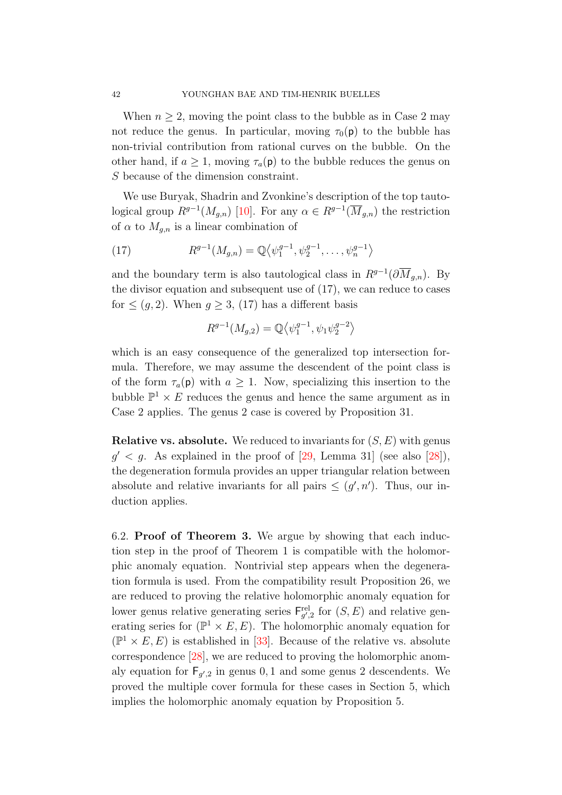When  $n \geq 2$ , moving the point class to the bubble as in Case 2 may not reduce the genus. In particular, moving  $\tau_0(\mathbf{p})$  to the bubble has non-trivial contribution from rational curves on the bubble. On the other hand, if  $a \geq 1$ , moving  $\tau_a(p)$  to the bubble reduces the genus on S because of the dimension constraint.

We use Buryak, Shadrin and Zvonkine's description of the top tautological group  $R^{g-1}(M_{g,n})$  [\[10\]](#page-46-18). For any  $\alpha \in R^{g-1}(\overline{M}_{g,n})$  the restriction of  $\alpha$  to  $M_{a,n}$  is a linear combination of

<span id="page-41-0"></span>(17) 
$$
R^{g-1}(M_{g,n}) = \mathbb{Q}\langle \psi_1^{g-1}, \psi_2^{g-1}, \dots, \psi_n^{g-1} \rangle
$$

and the boundary term is also tautological class in  $R^{g-1}(\partial \overline{M}_{g,n})$ . By the divisor equation and subsequent use of [\(17\)](#page-41-0), we can reduce to cases for  $\leq (q, 2)$ . When  $q \geq 3$ , [\(17\)](#page-41-0) has a different basis

$$
R^{g-1}(M_{g,2}) = \mathbb{Q} \langle \psi_1^{g-1}, \psi_1 \psi_2^{g-2} \rangle
$$

which is an easy consequence of the generalized top intersection formula. Therefore, we may assume the descendent of the point class is of the form  $\tau_a(\mathbf{p})$  with  $a \geq 1$ . Now, specializing this insertion to the bubble  $\mathbb{P}^1 \times E$  reduces the genus and hence the same argument as in Case 2 applies. The genus 2 case is covered by Proposition [31.](#page-36-1)

**Relative vs. absolute.** We reduced to invariants for  $(S, E)$  with genus  $g' < g$ . As explained in the proof of  $[29, \text{ Lemma } 31]$  (see also  $[28]$ ), the degeneration formula provides an upper triangular relation between absolute and relative invariants for all pairs  $\leq (g', n')$ . Thus, our induction applies.

6.2. Proof of Theorem [3.](#page-5-0) We argue by showing that each induction step in the proof of Theorem [1](#page-2-0) is compatible with the holomorphic anomaly equation. Nontrivial step appears when the degeneration formula is used. From the compatibility result Proposition [26,](#page-30-0) we are reduced to proving the relative holomorphic anomaly equation for lower genus relative generating series  $\mathsf{F}_{g',2}^{\text{rel}}$  for  $(S, E)$  and relative generating series for  $(\mathbb{P}^1 \times E, E)$ . The holomorphic anomaly equation for  $(\mathbb{P}^1 \times E, E)$  is established in [\[33\]](#page-47-1). Because of the relative vs. absolute correspondence [\[28\]](#page-46-19), we are reduced to proving the holomorphic anomaly equation for  $F_{g',2}$  in genus 0, 1 and some genus 2 descendents. We proved the multiple cover formula for these cases in Section [5,](#page-31-0) which implies the holomorphic anomaly equation by Proposition [5.](#page-5-5)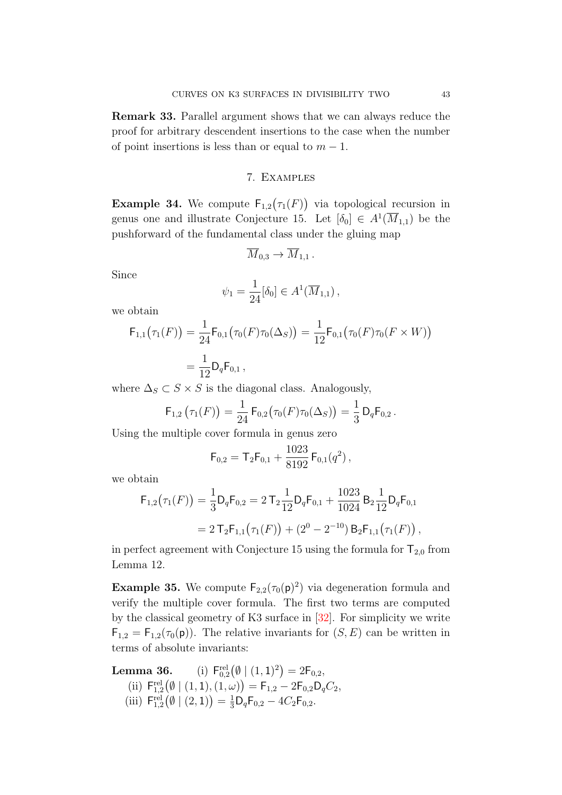Remark 33. Parallel argument shows that we can always reduce the proof for arbitrary descendent insertions to the case when the number of point insertions is less than or equal to  $m - 1$ .

#### 7. Examples

<span id="page-42-0"></span>**Example 34.** We compute  $F_{1,2}(\tau_1(F))$  via topological recursion in genus one and illustrate Conjecture [15.](#page-17-0) Let  $[\delta_0] \in A^1(\overline{M}_{1,1})$  be the pushforward of the fundamental class under the gluing map

$$
\overline{M}_{0,3} \to \overline{M}_{1,1} \, .
$$

Since

$$
\psi_1 = \frac{1}{24} [\delta_0] \in A^1(\overline{M}_{1,1}),
$$

we obtain

$$
\mathsf{F}_{1,1}(\tau_1(F)) = \frac{1}{24} \mathsf{F}_{0,1}(\tau_0(F)\tau_0(\Delta_S)) = \frac{1}{12} \mathsf{F}_{0,1}(\tau_0(F)\tau_0(F \times W))
$$
  
=  $\frac{1}{12} \mathsf{D}_q \mathsf{F}_{0,1},$ 

where  $\Delta_S \subset S \times S$  is the diagonal class. Analogously,

$$
\mathsf{F}_{1,2}(\tau_1(F)) = \frac{1}{24} \mathsf{F}_{0,2}(\tau_0(F)\tau_0(\Delta_S)) = \frac{1}{3} \mathsf{D}_q \mathsf{F}_{0,2}.
$$

Using the multiple cover formula in genus zero

$$
F_{0,2} = T_2 F_{0,1} + \frac{1023}{8192} F_{0,1}(q^2),
$$

we obtain

$$
\mathsf{F}_{1,2}(\tau_1(F)) = \frac{1}{3} \mathsf{D}_q \mathsf{F}_{0,2} = 2 \,\mathsf{T}_2 \frac{1}{12} \mathsf{D}_q \mathsf{F}_{0,1} + \frac{1023}{1024} \,\mathsf{B}_2 \frac{1}{12} \mathsf{D}_q \mathsf{F}_{0,1} = 2 \,\mathsf{T}_2 \mathsf{F}_{1,1}(\tau_1(F)) + (2^0 - 2^{-10}) \,\mathsf{B}_2 \mathsf{F}_{1,1}(\tau_1(F)),
$$

in perfect agreement with Conjecture [15](#page-17-0) using the formula for  $T_{2,0}$  from Lemma [12.](#page-12-0)

<span id="page-42-1"></span>**Example 35.** We compute  $F_{2,2}(\tau_0(\mathbf{p})^2)$  via degeneration formula and verify the multiple cover formula. The first two terms are computed by the classical geometry of K3 surface in [\[32\]](#page-47-3). For simplicity we write  $\mathsf{F}_{1,2} = \mathsf{F}_{1,2}(\tau_0(\mathsf{p}))$ . The relative invariants for  $(S, E)$  can be written in terms of absolute invariants:

**Lemma 36.** (i)  $\mathsf{F}_{0,2}^{\text{rel}}(\emptyset \mid (1,1)^2) = 2\mathsf{F}_{0,2}$ , (ii)  $\mathsf{F}_{1,2}^{\text{rel}}(\emptyset \mid (1,1), (1,\omega)) = \mathsf{F}_{1,2} - 2\mathsf{F}_{0,2}\mathsf{D}_{q}C_2,$ (iii)  $F_{1,2}^{\text{rel}}(\emptyset \mid (2,1)) = \frac{1}{3}D_qF_{0,2} - 4C_2F_{0,2}.$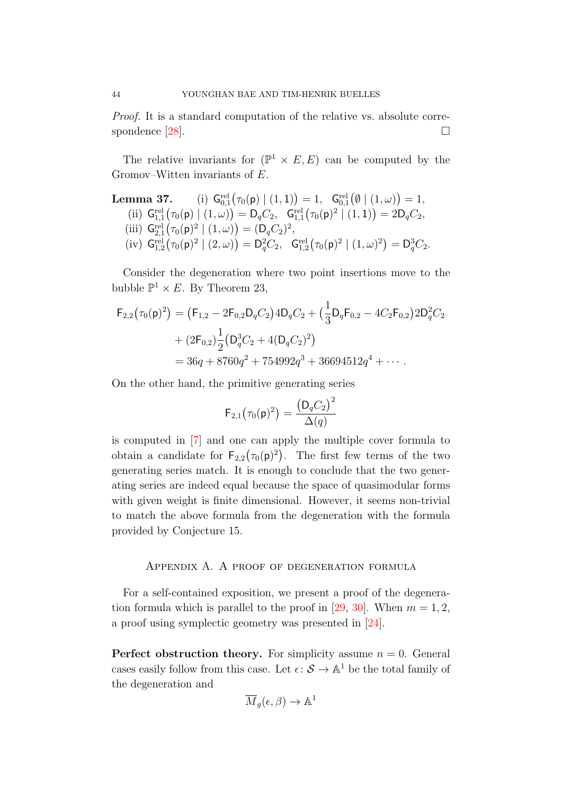Proof. It is a standard computation of the relative vs. absolute correspondence  $[28]$ .

The relative invariants for  $(\mathbb{P}^1 \times E, E)$  can be computed by the Gromov–Witten invariants of E.

**Lemma 37.** (i) 
$$
G_{0,1}^{\text{rel}}(\tau_0(\mathsf{p}) | (1,1)) = 1
$$
,  $G_{0,1}^{\text{rel}}(\emptyset | (1,\omega)) = 1$ ,  
\n(ii)  $G_{1,1}^{\text{rel}}(\tau_0(\mathsf{p}) | (1,\omega)) = D_q C_2$ ,  $G_{1,1}^{\text{rel}}(\tau_0(\mathsf{p})^2 | (1,1)) = 2D_q C_2$ ,  
\n(iii)  $G_{2,1}^{\text{rel}}(\tau_0(\mathsf{p})^2 | (1,\omega)) = (D_q C_2)^2$ ,  
\n(iv)  $G_{1,2}^{\text{rel}}(\tau_0(\mathsf{p})^2 | (2,\omega)) = D_q^2 C_2$ ,  $G_{1,2}^{\text{rel}}(\tau_0(\mathsf{p})^2 | (1,\omega)^2) = D_q^3 C_2$ .

Consider the degeneration where two point insertions move to the bubble  $\mathbb{P}^1 \times E$ . By Theorem [23,](#page-26-1)

$$
F_{2,2}(\tau_0(\mathsf{p})^2) = (F_{1,2} - 2F_{0,2}D_qC_2)4D_qC_2 + (\frac{1}{3}D_qF_{0,2} - 4C_2F_{0,2})2D_q^2C_2
$$
  
+  $(2F_{0,2})\frac{1}{2}(D_q^3C_2 + 4(D_qC_2)^2)$   
=  $36q + 8760q^2 + 754992q^3 + 36694512q^4 + \cdots$ 

On the other hand, the primitive generating series

$$
\mathsf{F}_{2,1}\bigl(\tau_0(\mathsf{p})^2\bigr) = \frac{\bigl(\mathsf{D}_q C_2\bigr)^2}{\Delta(q)}
$$

is computed in [\[7\]](#page-46-20) and one can apply the multiple cover formula to obtain a candidate for  $\mathsf{F}_{2,2}(\tau_0(\mathsf{p})^2)$ . The first few terms of the two generating series match. It is enough to conclude that the two generating series are indeed equal because the space of quasimodular forms with given weight is finite dimensional. However, it seems non-trivial to match the above formula from the degeneration with the formula provided by Conjecture [15.](#page-17-0)

### <span id="page-43-0"></span>Appendix A. A proof of degeneration formula

For a self-contained exposition, we present a proof of the degenera-tion formula which is parallel to the proof in [\[29,](#page-47-0) [30\]](#page-47-10). When  $m = 1, 2$ , a proof using symplectic geometry was presented in [\[24\]](#page-46-6).

**Perfect obstruction theory.** For simplicity assume  $n = 0$ . General cases easily follow from this case. Let  $\epsilon \colon \mathcal{S} \to \mathbb{A}^1$  be the total family of the degeneration and

$$
\overline{M}_g(\epsilon,\beta) \to \mathbb{A}^1
$$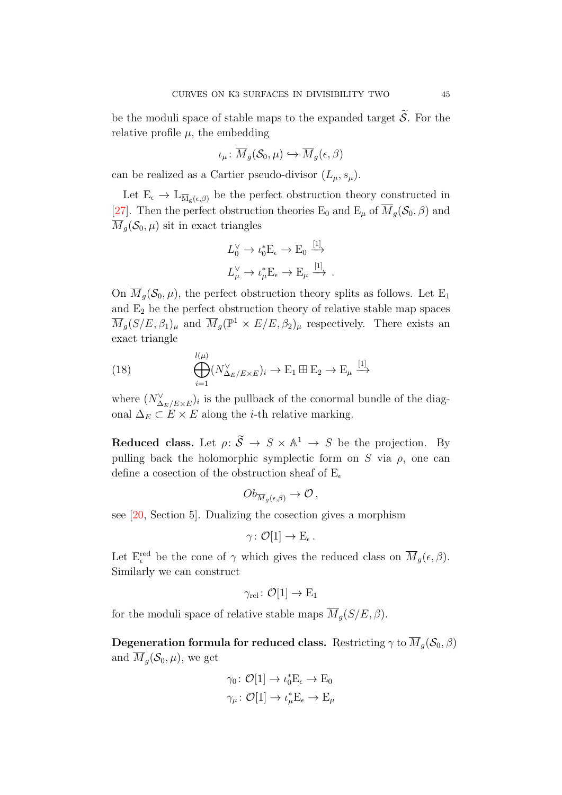be the moduli space of stable maps to the expanded target  $\widetilde{S}$ . For the relative profile  $\mu$ , the embedding

$$
\iota_{\mu} \colon \overline{M}_g(\mathcal{S}_0, \mu) \hookrightarrow \overline{M}_g(\epsilon, \beta)
$$

can be realized as a Cartier pseudo-divisor  $(L_{\mu}, s_{\mu})$ .

Let  $E_{\epsilon} \to \mathbb{L}_{\overline{\mathcal{M}}_{g}(\epsilon,\beta)}$  be the perfect obstruction theory constructed in [\[27\]](#page-46-21). Then the perfect obstruction theories  $E_0$  and  $E_\mu$  of  $\overline{M}_g(\mathcal{S}_0,\beta)$  and  $M_q(\mathcal{S}_0, \mu)$  sit in exact triangles

 $\mathbf{r}$ 

$$
L_0^{\vee} \to \iota_0^* \to E_{\epsilon} \to E_0 \xrightarrow{[1]}
$$
  

$$
L_{\mu}^{\vee} \to \iota_{\mu}^* E_{\epsilon} \to E_{\mu} \xrightarrow{[1]}
$$
.

On  $\overline{M}_q(\mathcal{S}_0,\mu)$ , the perfect obstruction theory splits as follows. Let E<sub>1</sub> and  $E_2$  be the perfect obstruction theory of relative stable map spaces  $\overline{M}_g(S/E, \beta_1)_\mu$  and  $\overline{M}_g(\mathbb{P}^1 \times E/E, \beta_2)_\mu$  respectively. There exists an exact triangle

<span id="page-44-0"></span>(18) 
$$
\bigoplus_{i=1}^{l(\mu)} (N_{\Delta_E/E \times E}^{\vee})_i \to \mathcal{E}_1 \boxplus \mathcal{E}_2 \to \mathcal{E}_{\mu} \xrightarrow{[1]}
$$

where  $(N_{\Delta_E/E\times E}^{\vee})_i$  is the pullback of the conormal bundle of the diagonal  $\Delta_E \subset E \times E$  along the *i*-th relative marking.

Reduced class. Let  $\rho: \widetilde{S} \to S \times \mathbb{A}^1 \to S$  be the projection. By pulling back the holomorphic symplectic form on S via  $\rho$ , one can define a cosection of the obstruction sheaf of  $E_{\epsilon}$ 

$$
Ob_{\overline{M}_g(\epsilon,\beta)} \to \mathcal{O},
$$

see [\[20,](#page-46-22) Section 5]. Dualizing the cosection gives a morphism

$$
\gamma\colon \mathcal{O}[1]\to \mathrm{E}_\epsilon\,.
$$

Let  $E_{\epsilon}^{\text{red}}$  be the cone of  $\gamma$  which gives the reduced class on  $\overline{M}_g(\epsilon,\beta)$ . Similarly we can construct

$$
\gamma_{\text{rel}} \colon \mathcal{O}[1] \to E_1
$$

for the moduli space of relative stable maps  $\overline{M}_q(S/E, \beta)$ .

Degeneration formula for reduced class. Restricting  $\gamma$  to  $\overline{M}_q(\mathcal{S}_0, \beta)$ and  $\overline{M}_q(\mathcal{S}_0,\mu)$ , we get

$$
\gamma_0 \colon \mathcal{O}[1] \to \iota_0^* \mathcal{E}_{\epsilon} \to \mathcal{E}_0
$$
  

$$
\gamma_{\mu} \colon \mathcal{O}[1] \to \iota_{\mu}^* \mathcal{E}_{\epsilon} \to \mathcal{E}_{\mu}
$$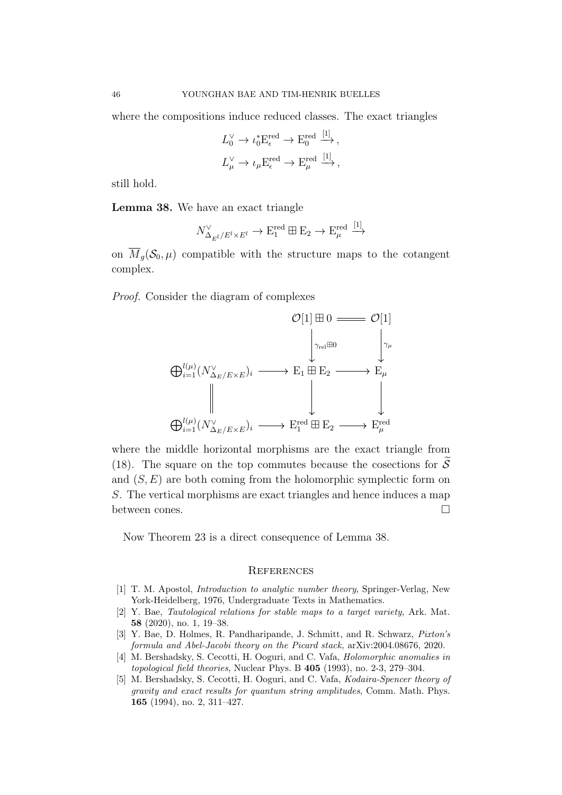where the compositions induce reduced classes. The exact triangles

$$
L_0^{\vee} \to \iota_0^* \mathcal{E}_{\epsilon}^{\text{red}} \to \mathcal{E}_0^{\text{red}} \xrightarrow{[1]},
$$
  

$$
L_{\mu}^{\vee} \to \iota_{\mu} \mathcal{E}_{\epsilon}^{\text{red}} \to \mathcal{E}_{\mu}^{\text{red}} \xrightarrow{[1]},
$$

still hold.

<span id="page-45-6"></span>Lemma 38. We have an exact triangle

$$
N_{\Delta_{E^l}/E^l \times E^l}^{\vee} \to \mathcal{E}_1^{\text{red}} \boxplus \mathcal{E}_2 \to \mathcal{E}_{\mu}^{\text{red}} \xrightarrow{[1]}
$$

on  $\overline{M}_q(\mathcal{S}_0, \mu)$  compatible with the structure maps to the cotangent complex.

Proof. Consider the diagram of complexes



where the middle horizontal morphisms are the exact triangle from [\(18\)](#page-44-0). The square on the top commutes because the cosections for  $\mathcal S$ and  $(S, E)$  are both coming from the holomorphic symplectic form on S. The vertical morphisms are exact triangles and hence induces a map between cones.

Now Theorem [23](#page-26-1) is a direct consequence of Lemma [38.](#page-45-6)

#### <span id="page-45-0"></span>**REFERENCES**

- <span id="page-45-3"></span>[1] T. M. Apostol, Introduction to analytic number theory, Springer-Verlag, New York-Heidelberg, 1976, Undergraduate Texts in Mathematics.
- <span id="page-45-5"></span>[2] Y. Bae, Tautological relations for stable maps to a target variety, Ark. Mat. 58 (2020), no. 1, 19–38.
- <span id="page-45-4"></span>[3] Y. Bae, D. Holmes, R. Pandharipande, J. Schmitt, and R. Schwarz, Pixton's formula and Abel-Jacobi theory on the Picard stack, arXiv:2004.08676, 2020.
- <span id="page-45-1"></span>[4] M. Bershadsky, S. Cecotti, H. Ooguri, and C. Vafa, Holomorphic anomalies in topological field theories, Nuclear Phys. B 405 (1993), no. 2-3, 279–304.
- <span id="page-45-2"></span>[5] M. Bershadsky, S. Cecotti, H. Ooguri, and C. Vafa, Kodaira-Spencer theory of gravity and exact results for quantum string amplitudes, Comm. Math. Phys. 165 (1994), no. 2, 311–427.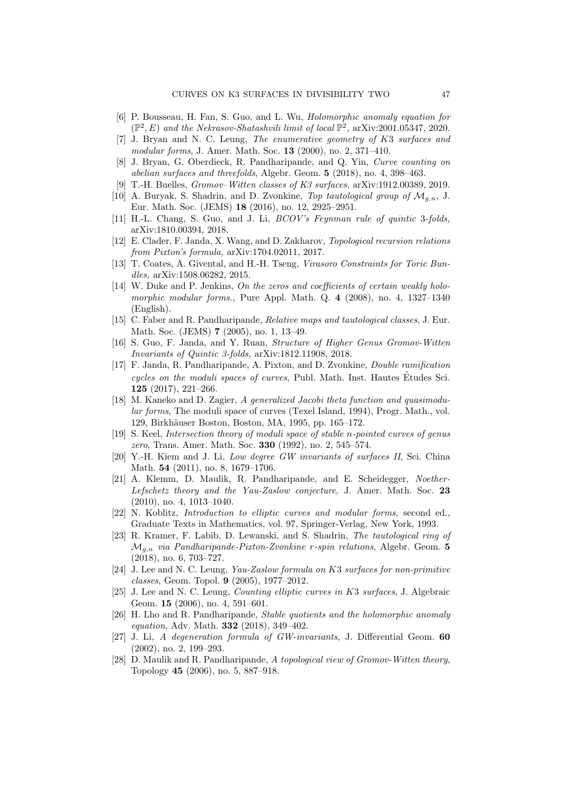- <span id="page-46-4"></span>[6] P. Bousseau, H. Fan, S. Guo, and L. Wu, Holomorphic anomaly equation for  $(\mathbb{P}^2, E)$  and the Nekrasov-Shatashvili limit of local  $\mathbb{P}^2$ , arXiv:2001.05347, 2020.
- <span id="page-46-20"></span>[7] J. Bryan and N. C. Leung, The enumerative geometry of K3 surfaces and modular forms, J. Amer. Math. Soc. 13 (2000), no. 2, 371–410.
- <span id="page-46-0"></span>[8] J. Bryan, G. Oberdieck, R. Pandharipande, and Q. Yin, Curve counting on abelian surfaces and threefolds, Algebr. Geom. 5 (2018), no. 4, 398–463.
- <span id="page-46-10"></span>[9] T.-H. Buelles, Gromov–Witten classes of K3 surfaces, arXiv:1912.00389, 2019.
- <span id="page-46-18"></span>[10] A. Buryak, S. Shadrin, and D. Zvonkine, Top tautological group of  $\mathcal{M}_{q,n}$ , J. Eur. Math. Soc. (JEMS) 18 (2016), no. 12, 2925–2951.
- <span id="page-46-2"></span>[11] H.-L. Chang, S. Guo, and J. Li, BCOV's Feynman rule of quintic 3-folds, arXiv:1810.00394, 2018.
- <span id="page-46-17"></span>[12] E. Clader, F. Janda, X. Wang, and D. Zakharov, Topological recursion relations from Pixton's formula, arXiv:1704.02011, 2017.
- <span id="page-46-11"></span>[13] T. Coates, A. Givental, and H.-H. Tseng, Virasoro Constraints for Toric Bundles, arXiv:1508.06282, 2015.
- <span id="page-46-9"></span>[14] W. Duke and P. Jenkins, On the zeros and coefficients of certain weakly holomorphic modular forms., Pure Appl. Math. Q. 4 (2008), no. 4, 1327-1340 (English).
- <span id="page-46-13"></span>[15] C. Faber and R. Pandharipande, Relative maps and tautological classes, J. Eur. Math. Soc. (JEMS) 7 (2005), no. 1, 13–49.
- <span id="page-46-3"></span>[16] S. Guo, F. Janda, and Y. Ruan, Structure of Higher Genus Gromov-Witten Invariants of Quintic 3-folds, arXiv:1812.11908, 2018.
- <span id="page-46-14"></span>[17] F. Janda, R. Pandharipande, A. Pixton, and D. Zvonkine, Double ramification cycles on the moduli spaces of curves, Publ. Math. Inst. Hautes Etudes Sci. ´ 125 (2017), 221–266.
- <span id="page-46-5"></span>[18] M. Kaneko and D. Zagier, A generalized Jacobi theta function and quasimodular forms, The moduli space of curves (Texel Island, 1994), Progr. Math., vol. 129, Birkhäuser Boston, Boston, MA, 1995, pp. 165–172.
- <span id="page-46-15"></span>[19] S. Keel, Intersection theory of moduli space of stable n-pointed curves of genus zero, Trans. Amer. Math. Soc. 330 (1992), no. 2, 545–574.
- <span id="page-46-22"></span>[20] Y.-H. Kiem and J. Li, Low degree GW invariants of surfaces II, Sci. China Math. 54 (2011), no. 8, 1679–1706.
- <span id="page-46-16"></span>[21] A. Klemm, D. Maulik, R. Pandharipande, and E. Scheidegger, Noether-Lefschetz theory and the Yau-Zaslow conjecture, J. Amer. Math. Soc. 23 (2010), no. 4, 1013–1040.
- <span id="page-46-8"></span>[22] N. Koblitz, Introduction to elliptic curves and modular forms, second ed., Graduate Texts in Mathematics, vol. 97, Springer-Verlag, New York, 1993.
- <span id="page-46-12"></span>[23] R. Kramer, F. Labib, D. Lewanski, and S. Shadrin, The tautological ring of  $\mathcal{M}_{g,n}$  via Pandharipande-Pixton-Zvonkine r-spin relations, Algebr. Geom. 5 (2018), no. 6, 703–727.
- <span id="page-46-6"></span>[24] J. Lee and N. C. Leung, Yau-Zaslow formula on K3 surfaces for non-primitive classes, Geom. Topol. 9 (2005), 1977–2012.
- <span id="page-46-7"></span>[25] J. Lee and N. C. Leung, Counting elliptic curves in K3 surfaces, J. Algebraic Geom. 15 (2006), no. 4, 591–601.
- <span id="page-46-1"></span>[26] H. Lho and R. Pandharipande, Stable quotients and the holomorphic anomaly equation, Adv. Math. 332 (2018), 349–402.
- <span id="page-46-21"></span>[27] J. Li, A degeneration formula of GW-invariants, J. Differential Geom. 60 (2002), no. 2, 199–293.
- <span id="page-46-19"></span>[28] D. Maulik and R. Pandharipande, A topological view of Gromov-Witten theory, Topology 45 (2006), no. 5, 887–918.